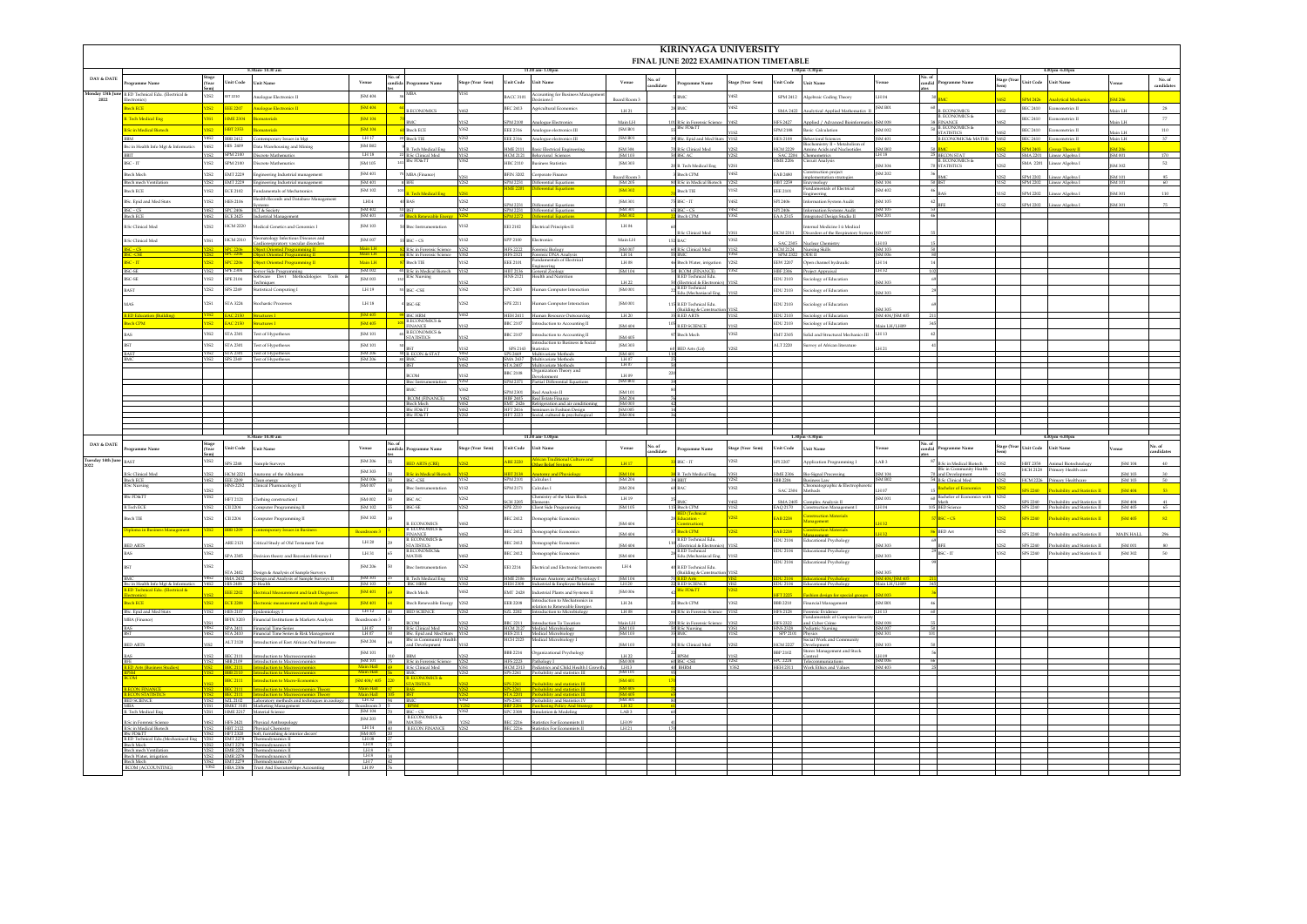|                  |                                                                               |                     |                                    |                                                                                                                                                    |                                                                                                                                              |        |                                                                 |                     |                                  |                                                                                                  |                                  |                   | <b>KIRINYAGA UNIVERSITY</b><br>FINAL JUNE 2022 EXAMINATION TIMETABLE      |                         |                             |                                                                        |                                  |                 |                                                              |                     |                             |                                                                         |                    |                      |
|------------------|-------------------------------------------------------------------------------|---------------------|------------------------------------|----------------------------------------------------------------------------------------------------------------------------------------------------|----------------------------------------------------------------------------------------------------------------------------------------------|--------|-----------------------------------------------------------------|---------------------|----------------------------------|--------------------------------------------------------------------------------------------------|----------------------------------|-------------------|---------------------------------------------------------------------------|-------------------------|-----------------------------|------------------------------------------------------------------------|----------------------------------|-----------------|--------------------------------------------------------------|---------------------|-----------------------------|-------------------------------------------------------------------------|--------------------|----------------------|
| DAY & DATE       | ramme Name                                                                    |                     | Unit Code                          | <b>Thit Name</b>                                                                                                                                   | Venue                                                                                                                                        | No. of | eramme Name                                                     | tage (Year Sem)     | Unit Code                        | <b>Unit Name</b>                                                                                 | Venue                            | ndidate           | ogramme Name                                                              | tage (Year Sem)         | nit Code                    | <b>Teit Name</b>                                                       | enue                             | No. of<br>Mihma | rogramme Name                                                | age (Ye             | Unit Code                   | Unit Name                                                               |                    | No. of<br>candidate  |
| 2022             | fonday 13th June B.ED Technical Edu. (Electrical &<br>ronics)                 | Y2S2                | EET 2210                           | Analogue Electronics II                                                                                                                            | JSM 404                                                                                                                                      |        | ABA                                                             |                     | <b>BACC 3101</b>                 | Accounting for Business Manageme<br>Decisions I                                                  | ard Room?                        |                   | MC                                                                        | Y4S2                    |                             | SPM 2412 Algebraic Coding Theory                                       | LH 04                            |                 |                                                              |                     | PM 2426                     |                                                                         |                    |                      |
|                  | <b>hECE</b>                                                                   | Y2S2                | <b>EEE 2207</b>                    | <b>Analogue Electronics II</b>                                                                                                                     | JSM 404                                                                                                                                      |        | <b>B.ECONOMICS</b>                                              |                     | <b>BEC 2413</b>                  | Agricultural Economics                                                                           | LH 21                            |                   | MC                                                                        | Y4S2                    |                             | SMA 2422 Analytical Applied Mathematics 1                              | ISM B01                          |                 | <b>S. ECONOMICS</b>                                          | Y4S2                | BEC 2410                    | Econometrics II                                                         | H.I nisM           | $^{\rm 28}$          |
|                  | <b>Tech Medical Eng</b>                                                       | <b>VIST</b>         | <b>HME 2304</b>                    | Biomaterials                                                                                                                                       | <b>JSM 104</b>                                                                                                                               |        | <b>DAC</b>                                                      |                     | PM 2100                          | Analogue Electronic                                                                              | Main LH                          |                   | <b>B.Sc in Forensic Scien</b>                                             | Y4S2                    | IFS 2427                    | Applied / Advanced Bioinfo                                             | <b>ISM 008</b>                   |                 | <b>3. ECONOMICS &amp;</b><br><b>INANCE</b><br>J. ECONOMICS & |                     | <b>BEC 2410</b>             | Econometrics II                                                         | H.I ni             | $\tau\tau$           |
|                  | Sc in Medical Biotech                                                         | <b>Y3S2</b>         | HBT 2353                           | Biomateriale<br>BBB 2412 Contemporary Issues in Mgt                                                                                                | JSM 104<br>LH17                                                                                                                              |        | Hech ECE<br>Btech TIE                                           | Y3S2                | <b>EEE 2316</b>                  | Analogue electronics III<br>EEE 2316 Analogue electronics III                                    | JSM B01<br><b>ISM B01</b>        |                   | Sc FD&TT<br>Sc. Epid and Med Stats Y1S2                                   | Y1S2                    | <b>SPM 2188</b>             | Basic Calculation<br>IES 2108 Behavioral Sciences                      | <b>JSM 002</b><br>JSM 401        |                 | <b>STATISTICS</b>                                            | Y4S2                | BEC 2410<br>BEC 2410        | netrics II                                                              | Main LH            | $_{\rm 110}$         |
|                  | se in Health Info Met & Informatics                                           | Y4S2                | 9045-2414                          | Data Warehousing and Mining                                                                                                                        | ISM R02                                                                                                                                      |        | Tech Medical Eng                                                |                     | ME 2111                          | lasic Electrical Engineerin                                                                      | JSM 304                          |                   | Sc Clinical Med                                                           |                         | ICM 2229                    | ochemistry II - Metabolism o<br>Amino Acids and Nucleotides            | <b>SM B02</b>                    |                 |                                                              |                     | 24.2403                     | ip Theory I                                                             | 34206              |                      |
|                  | <b>BBIT</b><br>BSC-IT                                                         | <b>Y1S2</b><br>Y1S2 | SPM 2100                           | SPM 2100 Discrete Mathematics<br>Discrete Mathematics                                                                                              | LH18<br>ISM 105                                                                                                                              |        | 22 B.Sc Clinical Med<br>Sc FD&TT                                | <b>Y1S2</b><br>Y3S2 |                                  | HCM 2121 Behavioral Sciences<br>HBC 2110 Business Statistics                                     | ISM 103<br>JSM 303               |                   | <b>BSC AC</b><br><b>B.</b> Tech Medical Ene                               | Y2S2<br>V2S1            | HME 2206                    | SAC 2204 Chemometrics<br>Circuit Analysis                              | LH 18<br><b>ISM 304</b>          |                 | 25 BECON STAT<br><b>B. ECONOMICS &amp;</b><br>70 STATISTICS  | Y2S2<br><b>COLU</b> |                             | SMA 2201 Linear Aleebra I<br>SMA 2201 Linear Algebra 1                  | ISM 001<br>COF M21 | 170<br>52            |
|                  | tech Mech                                                                     | <b>Y2S2</b>         | EMT 2229                           | Engineering Industrial managemen                                                                                                                   | JSM 401                                                                                                                                      |        | MBA (Finance)                                                   |                     | <b>BFIN 3202</b>                 | Corporate Finance                                                                                | Board Room 3                     |                   | Btech CPM                                                                 | Y4S2                    | <b>EAB 2480</b>             | astruction project<br>implementation strategies                        | ISM 202                          |                 |                                                              | Y2S2                | SPM 2202                    | Linear Algebra I                                                        | <b>ISM 101</b>     | 95                   |
|                  | Itech mech Ves<br>Boch FCE                                                    | Y1S2                | ECE 2102                           | EMT 2229 Engineering Industrial management<br>Eundamentals of Mechatronics                                                                         | JSM 401<br>ISM 102                                                                                                                           |        |                                                                 | 2S1                 |                                  | SPM 2231 Differential Equat<br><mark>ifferential Equal</mark>                                    | <b>JSM 302</b>                   |                   | <b>B.Sc in Medical Bi</b><br>Rech TIE                                     | $h$ Y2S2<br><b>Y1S2</b> | FFF 2101                    | HBT 2259 Enzymology<br>Fundamentals of Electrical                      | JSM 104<br><b>ISM 402</b>        |                 |                                                              |                     |                             | SPM 2202 Linear Algebra I                                               | M 301              | 60                   |
|                  | BSc. Epid and Med Stats                                                       | Y1S2                | <b>HES 2106</b>                    | Health Records and Database Management<br>vstems                                                                                                   | $_{\rm LHI4}$                                                                                                                                |        | Tech Medical Eng<br>40 BAS                                      | Y2S2                |                                  | SPM 2231 Differential Equations                                                                  | JSM 301                          |                   | $BSC$ - $IT$                                                              | Y4S2                    | SPI 2406                    | ingineering<br>Information System Audit                                | <b>ISM 105</b>                   |                 |                                                              | Y152                | PM 2202<br><b>SPM 2202</b>  | near Algebra<br>Linear Algebra I                                        | <b>JSM 301</b>     | 110<br>75            |
|                  | n.cs<br>ach ECE                                                               | Y4S2                | <b>SPC</b> 2406<br>CE 2425         | <b>ICT &amp; Coda</b><br>Industrial Managemen                                                                                                      | JSM 402<br>JSM 401                                                                                                                           |        |                                                                 |                     | PM 2231<br><mark>PM 2272</mark>  | Differential Equation<br>Differential Equation                                                   | ISM 301                          |                   | 20.08<br>Rech CPM                                                         | Y4S2<br>Y3S2            | PI 7406<br>AA 2315          | <b>Information Systems Andit</b><br>Integrated Design Studio II        | <b>ISM 105</b><br>ISM 201        |                 |                                                              |                     |                             |                                                                         |                    |                      |
|                  | <b>B.Sc</b> Clinical Med                                                      | Y2S2                | HCM 2220                           | Medical Genetics and Genomics 1                                                                                                                    | JSM 103                                                                                                                                      |        | 50 Btec Instrumentation                                         | Y1S2                |                                  | EEI 2102 Electrical Principles II                                                                | LH 04                            |                   |                                                                           |                         | <b>ICM 2311</b>             | nternal Medicine I û Medical                                           | ISM 007                          |                 |                                                              |                     |                             |                                                                         |                    |                      |
|                  | Sc Clinical Med                                                               | Y3S1                | HCM 2310                           | natology Infectious Diseases and<br>Cardiorespiratory vascular disorders                                                                           | <b>ISM 007</b>                                                                                                                               |        | $BSC - CS$                                                      | Y1S2                |                                  | SPP 2100 Electronics                                                                             | Main LH                          |                   | <b>B.Sc Clinical Med</b><br>152 BAC                                       | Y3S2                    | <b>SAC 2305</b>             | Disorders of the Respiratory Syst<br>adear Chemistry                   |                                  |                 |                                                              |                     |                             |                                                                         |                    |                      |
|                  |                                                                               |                     |                                    | Object Oriented Programming II                                                                                                                     | Main LH                                                                                                                                      |        | B.Sc in Forensic Science Y2S2<br><b>B.Sc in Forensic Sciens</b> | <b>V3S2</b>         |                                  | HPS 2222 Forensic Biology                                                                        | ISM 007<br>LH 14                 |                   | 60 B.Sc Clinical Med                                                      | Y1S2                    | SPM 2322 ODE II             | HCM 2124 Nursing Skills                                                | <b>ISM 103</b><br>ISM 006        |                 |                                                              |                     |                             |                                                                         |                    |                      |
|                  | tн<br>CSE                                                                     | <b>VORD</b><br>Y3S2 | <b>PC 2206</b>                     | Object Oriented Programming II<br>SPE 2304 Server Side Programming                                                                                 | Main LH<br>JSM 002                                                                                                                           |        | tech TIE<br><b>B.Sc in Medical Biotech</b>                      | Y1S2<br>YIS2        | <b>EEE 2101</b>                  | seineerine<br>HBT 2136 General Zoology                                                           | $LH$ 08<br><b>JSM 104</b>        |                   | Btech Water, irrigation<br>50 BCOM (FINANCE)                              | Y2S2                    | EW 2207                     | Open channel hydraulic<br>IBF 2306 Project Appraisal                   | 114.14                           |                 |                                                              |                     |                             |                                                                         |                    |                      |
|                  | C-SE                                                                          | Y1S2                | <b>SPE 2104</b>                    | Software Devt Methodologies Tools                                                                                                                  | ISM 003                                                                                                                                      |        | <b>I.Sc Nursing</b>                                             |                     |                                  | HNS 2121 Health and Nutrition                                                                    | LH 22                            |                   | <b>ED Technical Edu</b><br>lectrical & Electroni                          |                         |                             | EDU 2103 Sociology of Education                                        | SM 303                           |                 |                                                              |                     |                             |                                                                         |                    |                      |
|                  | ŚΤ                                                                            | Y2S2                | SPS 2249                           | Statistical Computing I                                                                                                                            | $\mbox{LH}\,19$                                                                                                                              |        | <b>BSC-CSE</b>                                                  | Y3S2                | SPC 2403                         | Human Computer Interaction                                                                       | $\rm JSM$ 001                    |                   | <b>B.ED Technical</b><br>du.(Mechaniacal Eng                              |                         | EDU 2103                    | Sociology of Education                                                 | <b>JSM 303</b>                   |                 |                                                              |                     |                             |                                                                         |                    |                      |
|                  |                                                                               | <b>Y2S1</b>         | STA 3224                           | Stochastic Processes                                                                                                                               | LH18                                                                                                                                         |        | SC-SE                                                           | Y2S2                |                                  | SPE 2211 Human Computer Interaction                                                              | ISM 001                          |                   | 115 B ED Technical Edu<br>Ildine & Construc                               |                         | DU 2103                     | sociology of Education                                                 |                                  |                 |                                                              |                     |                             |                                                                         |                    |                      |
|                  | ch CPM                                                                        | 152 <sub>1</sub>    | <b>EAC 215</b><br><b>EAC 2150</b>  | Structures I<br>Structures I                                                                                                                       | <b>JSM 40</b><br><b>JSM 405</b>                                                                                                              |        | <b>ISCHRM</b><br><b>RECONOMICS &amp;</b>                        | Y4S2                |                                  | HEH 2411 Human Resource Outsourcing<br>BBC 2107 Introduction to Accounting II                    | LH 20                            |                   | 35 B.ED ARTS                                                              | YIS2                    | EDU 2103                    | EDU 2103 Sociology of Education<br>Sociology of Education              | JSM 404/JSM 405                  |                 |                                                              |                     |                             |                                                                         |                    |                      |
|                  |                                                                               | <b>Y3S2</b>         |                                    | STA 2301 Test of Hypotheses                                                                                                                        | ISM 101                                                                                                                                      |        | <b>FINANCE</b><br>65 B.ECONOMICS &<br>TATISTICS                 |                     | BBC 2107                         | Introduction to Accounting II                                                                    | JSM 404<br>JSM 405               |                   | <b>LED SCIENCE</b><br>Btech Mech                                          | V1S2<br>$Y3S2$          | EMT 2305                    | Solid and Structural Mechanics III $\;$ LH 13 $\;$                     | Main LH/LH09                     |                 |                                                              |                     |                             |                                                                         |                    |                      |
|                  |                                                                               | Y352                | STA 2301                           | Test of Hypotheses                                                                                                                                 | JSM 101                                                                                                                                      |        |                                                                 |                     |                                  | Introduction to Business & Social<br>SPS 2143 Statistics                                         | JSM 303                          |                   | BED Arts (Lit)                                                            |                         | ALT 2220                    | arvey of African literatur                                             |                                  |                 |                                                              |                     |                             |                                                                         |                    |                      |
|                  |                                                                               | Y3S2                | STA 2301<br>SPS 2349               | Test of Hypothese<br>Test of Hypothese                                                                                                             | JSM 206<br>JSM 206                                                                                                                           |        | B. ECON & STAT<br>80 BMC<br><b>BST</b>                          | Y4S2<br><b>Y4S2</b> |                                  | SPS 2449 Multivariate Method<br>SMA 2437 Multivariate Methods                                    | ISM 401<br>LH 07<br>LH 07        |                   |                                                                           |                         |                             |                                                                        |                                  |                 |                                                              |                     |                             |                                                                         |                    |                      |
|                  |                                                                               |                     |                                    |                                                                                                                                                    |                                                                                                                                              |        | COM                                                             |                     | <b>BBC 2108</b>                  | STA 2407 Multivariate Methods<br>RRC 2108 Organization Theory and<br>Jevelopment                 |                                  |                   |                                                                           |                         |                             |                                                                        |                                  |                 |                                                              |                     |                             |                                                                         |                    |                      |
|                  |                                                                               |                     |                                    |                                                                                                                                                    |                                                                                                                                              |        | Itec Instrumentation<br><b>IMC</b>                              | Y352                |                                  | PM 2371 Partial Differential Equ                                                                 | LH 09<br>JSM B02                 |                   |                                                                           |                         |                             |                                                                        |                                  |                 |                                                              |                     |                             |                                                                         |                    |                      |
|                  |                                                                               |                     |                                    |                                                                                                                                                    |                                                                                                                                              |        | <b>BCOM (FINANCE)</b><br>Itech Mech                             | Y4S2                |                                  | PM 2301 Real Analysis II<br>HBF 2405 Real Estate Finance<br>EMT 2426 Refrigeration and air condi | ISM 101<br>ISM 204<br>ISM 003    |                   |                                                                           |                         |                             |                                                                        |                                  |                 |                                                              |                     |                             |                                                                         |                    |                      |
|                  |                                                                               |                     |                                    |                                                                                                                                                    |                                                                                                                                              |        | <b>BSc FD&amp;TT</b><br>ScFD&TT                                 | Y4S2                | IFT 2223                         | HFT 2416 Seminars in Fashion Design<br>social, cultural & psychological                          | <b>JSM 005</b><br>ISM 004        |                   |                                                                           |                         |                             |                                                                        |                                  |                 |                                                              |                     |                             |                                                                         |                    |                      |
|                  |                                                                               |                     |                                    |                                                                                                                                                    |                                                                                                                                              |        |                                                                 |                     |                                  |                                                                                                  |                                  |                   |                                                                           |                         |                             |                                                                        |                                  |                 |                                                              |                     |                             |                                                                         |                    |                      |
| DAY & DATE       |                                                                               |                     |                                    |                                                                                                                                                    |                                                                                                                                              |        |                                                                 |                     |                                  |                                                                                                  |                                  |                   |                                                                           |                         |                             |                                                                        |                                  |                 |                                                              |                     |                             |                                                                         |                    |                      |
|                  | ramme Name                                                                    | (Year               | Unit Code                          | Unit Name                                                                                                                                          | Venue                                                                                                                                        |        | ogramme Name                                                    | stage (Year Sem)    |                                  | Unit Code Unit Name                                                                              | Venue                            | vo, of<br>ndidate | agramme Name                                                              | tage (Year Sem)         | Init Code                   | <b>Unit Name</b>                                                       | enue                             | andid.          | ogramme Name                                                 | Stage (Year         | <b>Unit Code</b>            | Unit Name                                                               | 'enne              | No. of<br>candidates |
| Tuesday 14th Jur | <b>BACT</b>                                                                   | <b>Y2S2</b>         | S 2248                             |                                                                                                                                                    |                                                                                                                                              |        |                                                                 |                     |                                  |                                                                                                  |                                  |                   |                                                                           |                         |                             | Application Programming I                                              |                                  |                 |                                                              |                     |                             |                                                                         |                    |                      |
|                  | <b>Sc Clinical Med</b><br><b>Btech ECE</b>                                    |                     |                                    |                                                                                                                                                    | <b>ISM 206</b><br>ISM 303                                                                                                                    |        | <b>ARTS (CRE)</b>                                               |                     |                                  |                                                                                                  | <b>IH17</b>                      |                   | BSC - IT                                                                  | Y2S2                    | PI 2207                     |                                                                        | LAB <sub>3</sub>                 |                 | in Medical Biotech<br>in Community Hea                       |                     | <b>IRT 2358</b><br>ICH 2128 | imary Health car                                                        | <b>ISM 104</b>     |                      |
|                  |                                                                               |                     | HCM 2221<br>EEE 2209 Clean energ   | Anatomy of the Abdomen                                                                                                                             | JSM 006                                                                                                                                      |        | in Medical Biotech<br>SC-CSE                                    |                     | <mark>IBT 2138</mark><br>PM 2101 |                                                                                                  | <mark>ISM 104</mark><br>JSM 204  |                   | B. Tech Medical Ene                                                       |                         |                             | ME 2306 Bio-Sienal Processine<br>BB 2204 Business Law                  | <b>ISM 104</b><br><b>ISM B02</b> |                 | 70 and Development                                           |                     | TM 2226                     |                                                                         | ISM 103            |                      |
|                  | Sc Nursing<br><b>ScFD&amp;T</b>                                               |                     |                                    | HNS 2232 Clinical Pharmacology II                                                                                                                  | JSM 007                                                                                                                                      |        | tec Instrumentation                                             | Y1S2                | SPM 2171                         | Calculus I                                                                                       | <b>ISM 204</b>                   |                   |                                                                           | Y3S2                    |                             | Chromatographic & Electrophoret<br>SAC 2304 Methods                    | 14.07                            |                 | <b>Bachelor of Fornomics</b>                                 | <b>ORD</b><br>Y2S2  |                             |                                                                         | <b>ISM 404</b>     |                      |
|                  | Tech ECE                                                                      | Y1S2<br>Y352        | HFT 2121<br>CII 2204               | Clothing construction I<br>Computer Programming II                                                                                                 | <b>JSM 002</b><br>JSM 102                                                                                                                    |        | <b>SCAC</b><br><b>BSC-SE</b>                                    | Y2S2                | CH 2205                          | Chemistry of the Main Block<br>Elements<br>SPE 2210 Client Side Progra                           | LH 19<br><b>JSM 105</b>          |                   | 115 Bloch CPM                                                             | Y4S.<br>YIS2            |                             | SMA 2405 Complex Analysis II<br>AO 2170 Construction Management        | JSM 001<br>LH 04                 |                 | 60 Bachelor of Economics with<br>lath<br>105 BED Sciene      |                     | SPS 2240                    | Probability and Statistics II<br>SPS 2240 Probability and Statistics II | JSM 404<br>ISM 405 | 41<br>65             |
|                  | $ch$ TIE                                                                      | Y2S2                | CII 2204                           | <b>Computer Programming II</b>                                                                                                                     | JSM 102                                                                                                                                      |        |                                                                 |                     | EC 2412                          | Demographic Economics                                                                            |                                  |                   | pressure<br>ucation -                                                     | <b>Y2S2</b>             | AB 2238                     | <b>Construction Materials</b><br>nagement <b>and</b>                   |                                  |                 | $BSC - CS$                                                   | 1252                | <b>IPS 2240</b>             | <b>Probability and Statistics II</b>                                    | <b>JSM 405</b>     | 82                   |
|                  | ploma in Business Management                                                  |                     | <b>BB</b> 1209                     | <b>Contemporary Issues in Bus</b>                                                                                                                  | Boardroom 3                                                                                                                                  |        | I. ECONOMICS<br>I. ECONOMICS &                                  |                     | <b>BEC 2412</b>                  | Demographic Economics                                                                            | JSM 404<br>ISM 404               |                   | struction)<br>ech CPM                                                     | <b>Y2S2</b>             |                             | <b>AB 2238</b> Construction Materials                                  | 114.32                           |                 | <b>BED Art</b>                                               | Y2S2                |                             | SPS 2240 Probability and Statistics II                                  | MAIN HALL          | 296                  |
|                  | <b>ED ARTS</b>                                                                |                     | ARE 2121                           | Critical Study of Old Testament Text                                                                                                               | LH 20                                                                                                                                        | 39     | INANCE<br>3. ECONOMICS &                                        |                     | <b>BEC 2412</b>                  | Demographic Economics                                                                            | ISM 404                          | 110               | <b>ED Technical Edu.</b>                                                  |                         |                             | EDU 2104 Educational Psychology                                        | ISM 303                          |                 |                                                              |                     |                             | SPS 2240 Probability and Statistics II                                  | ISM 001            |                      |
|                  |                                                                               | Y352                | PA 2305                            | prision theory and Bayesian Info                                                                                                                   | $_{\rm LH\,31}$                                                                                                                              |        | STATISTICS<br>LECONOMICS&<br><b>IATHS</b>                       |                     |                                  | BEC 2412 Demographic Economics                                                                   | ISM 404                          |                   | lectrical & Electronics<br>ED Technical<br>lu.(Mechaniacal En-            |                         |                             | DU 2104 Educational Psychology<br>EDU 2104 Educational Psychology      | ISM 303                          |                 | $BSC - IT$                                                   | Y352                |                             | SPS 2240 Probability and Statistics II                                  | <b>JSM 302</b>     | 50                   |
|                  |                                                                               | CRY                 | STA 2402                           | Design & Analysis of Sample Surveys                                                                                                                | ISM 206                                                                                                                                      |        | tec Instrumentation                                             | Y2S2<br>V192        | EEI 2214                         | lectrical and Electronic Instrumer                                                               | LH 4                             |                   | <b>B.ED Technical Edu</b><br>uilding & Construction Y1S<br><b>FD Arts</b> |                         |                             |                                                                        | ISM 305                          |                 |                                                              |                     |                             |                                                                         |                    |                      |
|                  | c in Health Info Mgt & Informatics<br>ical Edu. (Electrical &                 |                     | HIS 2408 E-Health                  | Y4S2 SMA 2432 Design and Analysis of Sample Surveys II                                                                                             | JSM 301<br>JSM 103                                                                                                                           |        | B. Tech Medical Eng<br><b>BSC HRM</b>                           |                     |                                  | HME 2106 Human Anatomy and Physiology I<br>EH 2308 Industrial & Employee Relations               | ISM 104                          |                   | <b>BLED AND</b><br>BLED SCIENCE<br><mark>BSc FD&amp;TT</mark>             | YIS2                    |                             | 2U 2104 Educational Psycholog<br>EDU 2104 Educational Psycholog        | ISM 404/ISM 405<br>Main LH/LH09  |                 |                                                              |                     |                             |                                                                         |                    |                      |
|                  | ctronics)<br>ch ECE                                                           | v <sub>0</sub>      | <b>EEE 2202</b>                    | <b>Electrical Meas</b><br>ant and fault Dias<br>Electronic measurement and fault diagnosis                                                         | <b>ISM 401</b>                                                                                                                               |        | Itech Mech                                                      | Y4S2                | EMT 2428<br><b>EER 2208</b>      | ndustrial Plants and Systems II<br>Introduction to Mechatronics in                               | <b>ISM 006</b>                   |                   | Rech CPM                                                                  |                         |                             | shion design for spec<br>BBB 2210 Financial Management                 | SM 003                           |                 |                                                              |                     |                             |                                                                         |                    |                      |
|                  | c. Epid and Med Stats                                                         | <b>Y1S2</b>         | <b>ECE 2208</b><br><b>HES 2107</b> | Epidemiology I                                                                                                                                     | JSM 401<br>LH12                                                                                                                              |        | Btech Renewable Energy<br><b>BED SCIENCE</b>                    | Y2S2                | 571, 2202                        | relation to Renewable Energies<br>Introduction to Microbiology                                   | $\rm LH\,24$<br>LH08             |                   | Sc in Forensic Science                                                    | $\sqrt{3S2}$            |                             | IFS 2128 Forensic Evidence                                             | JSM B01<br>LH 13                 |                 |                                                              |                     |                             |                                                                         |                    |                      |
|                  | <b>ABA</b> (Finance)                                                          |                     | <b>BFIN 3203</b>                   | Financial Institutions & Markets Analysis<br>SPA 2411 Financial Time Serie                                                                         | Boardroom 3<br>LH07                                                                                                                          |        | MO<br><b>B.Sc Clinical Med</b>                                  |                     | <b>BC 2211</b>                   | roduction To Taxation<br>HCM 2127 Medical Microbiology                                           | Main LH<br>ISM 103               |                   | ic in Forencic <sup>e</sup><br>50 B.Sc Nursing                            | Y3S1                    | P5222<br><b>INS 2328</b>    | indamentals of Computer<br>and Cyber Crime<br><b>Pediatric Nursing</b> | <b>SM 008</b><br>ISM 007         |                 |                                                              |                     |                             |                                                                         |                    |                      |
|                  |                                                                               |                     | TA 2410<br>ALT 2120                | Financial Time Series & Risk Management<br>Introduction of East African Oral literature                                                            | LH07<br>JSM 204                                                                                                                              | 64     | BSc. Epid and Med Stat<br>Sc in Community Hea                   |                     | <b>HES 2111</b>                  | Medical Microbiology<br>HCH 2123 Medical Microbiology 1                                          | ISM 103                          |                   |                                                                           |                         | SPP 2101                    | Physics<br>Social Work and Com                                         | ISM 301                          |                 |                                                              |                     |                             |                                                                         |                    |                      |
|                  | <b>ED ARTS</b>                                                                |                     | $_{\rm c\,3111}$                   | oduction to Macroeconomi                                                                                                                           | ISM 101                                                                                                                                      |        | and Development                                                 |                     |                                  | BBB 2214 Organizational Psychology                                                               | ISM 103<br>LH 22                 |                   | <b>B.Sc</b> Clinical Med                                                  | V2S2                    | <b>ICM 2227</b><br>BBP 2102 | Development<br>Rores Management and Stock<br>ontrol                    | <b>ISM 103</b>                   |                 |                                                              |                     |                             |                                                                         |                    |                      |
|                  |                                                                               | Y1S2                | <b>BBC 2111</b>                    | SBB 2109 Introduction to Macroeconomics<br>Introduction to Macroeconor                                                                             | $JSM101$ $75$                                                                                                                                |        | B.Sc in Forensic Science Y2S2<br><b>B.Sc Clinical Med</b>       | <b>V3S1</b>         |                                  | HFS 2223 Pathology I<br>HCM 2313 Pediatrics and Child Health I Growth                            | ISM 008<br>LH13                  |                   | SC-CSE<br>HRM                                                             |                         |                             | PC 2224 Telecommunications<br>IEH 2311 Work Ethics and Value           | <b>ISM 403</b>                   |                 |                                                              |                     |                             |                                                                         |                    |                      |
|                  |                                                                               |                     | <b>BBC 2111</b>                    | Introduction to Macro-Economics                                                                                                                    | Main Hall<br>JSM 404/405                                                                                                                     |        | NOMICS &                                                        |                     |                                  |                                                                                                  | ISM 101<br><b>JSM 401</b>        |                   |                                                                           |                         |                             |                                                                        |                                  |                 |                                                              |                     |                             |                                                                         |                    |                      |
|                  | <b>CON FINANCE</b>                                                            |                     |                                    | <b>BEC 2111</b> Introduction to Macroeconomics Theory                                                                                              | Main Hall<br><b>Main Hall</b>                                                                                                                |        | <b>ATISTICS</b>                                                 |                     | PS 2241                          | Probability and statistics III<br>PS 2241 Probability and statistics III                         | <b>ISM 405</b><br><b>ISM 405</b> |                   |                                                                           |                         |                             |                                                                        |                                  |                 |                                                              |                     |                             |                                                                         |                    |                      |
|                  | D SCIENCE<br>ВΑ                                                               |                     |                                    | Y1S2 SZL 2102 Laboratory methods and techniques in zoology<br>YISI BMKT 3101 Marketine Manaeement                                                  | LH32<br>Boardroom 3 5                                                                                                                        |        | $MC$ and $C$                                                    | YZ52                |                                  | SPS 2341 Probability and Statistics IV<br>BBP 2204 Purchasine Policy And Strategy                | JSM 301<br>H32                   |                   |                                                                           |                         |                             |                                                                        |                                  |                 |                                                              |                     |                             |                                                                         |                    |                      |
|                  | Tech Medical Eng<br>Sc in Forensic Sc                                         |                     | <b>PS 2421</b>                     | Material Scieno<br>Physical Anthropolo                                                                                                             | ISM 104<br><b>ISM 203</b>                                                                                                                    |        | en Line<br><b>RECONOMICS &amp;</b>                              |                     | C2216                            | <sup>2</sup> C 2308 Simulation & Modeline<br>Statistics For Economists I                         | LAB <sub>3</sub><br>LH 09        |                   |                                                                           |                         |                             |                                                                        |                                  |                 |                                                              |                     |                             |                                                                         |                    |                      |
|                  | <b>B.Sc in Medical Biotech</b><br>cFD&TT                                      | <b>Y1S2</b>         |                                    | HBT 2122 Physical Chemistry<br>Soft furnishing & interior d                                                                                        | LH14                                                                                                                                         | 40     | <b>B.ECON FINANCE</b>                                           | Y2S2                |                                  | BEC 2216 Statistics For Economists II                                                            | LH 21                            |                   |                                                                           |                         |                             |                                                                        |                                  |                 |                                                              |                     |                             |                                                                         |                    |                      |
|                  | ED Technical Edu.(Mechaniacal Eng<br>ech Mech                                 |                     |                                    | V2S2 EMT 2278 Thermodynamics II<br>V2S2 EMT 2278 Thermodynamics II<br>V2S2 EMT 2278 Thermodynamics II                                              |                                                                                                                                              |        |                                                                 |                     |                                  |                                                                                                  |                                  |                   |                                                                           |                         |                             |                                                                        |                                  |                 |                                                              |                     |                             |                                                                         |                    |                      |
|                  | Btech mech Ventilation<br>tech Water, irrigatio<br>ch Mech<br>COM (ACCOUNTING | Y3S2                |                                    | Y2S2 EMR 2278 Thermodynamics II<br>Y2S2 EMR 2278 Thermodynamics II<br>EMT 2279 Thermodynamics IV<br>Y3S2 HBA 2306 Trust And Executorships Accounti | $\begin{array}{r}\n 15M 005 \\  \hline\n \text{LH} 08 \\  \hline\n \text{LH} 8 \\  \hline\n \text{LH} 8\n \end{array}$<br>LH 8<br>H7<br>LH09 |        |                                                                 |                     |                                  |                                                                                                  |                                  |                   |                                                                           |                         |                             |                                                                        |                                  |                 |                                                              |                     |                             |                                                                         |                    |                      |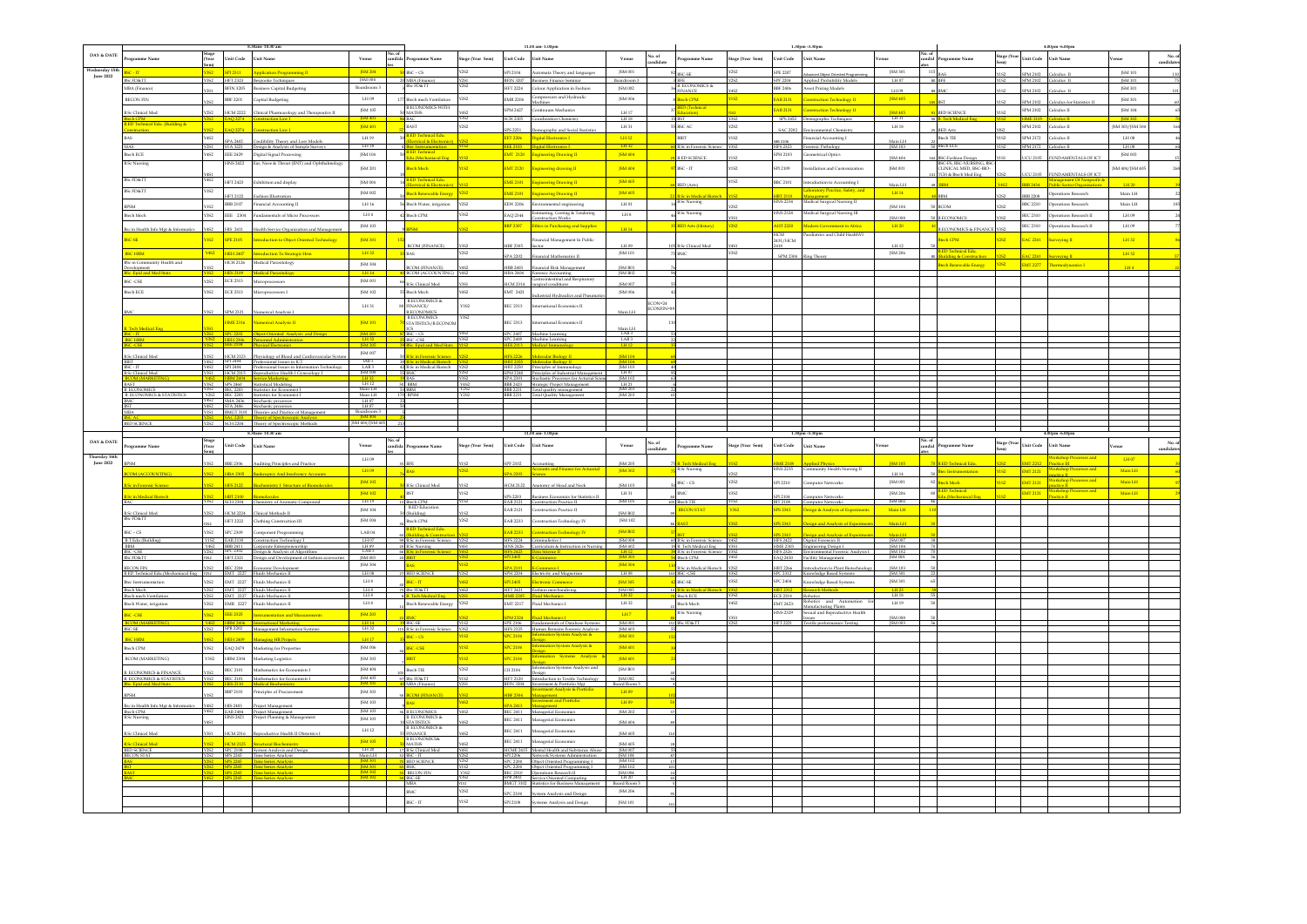|                               |                                                                     |                            |                             |                                                                                                                             |                                              |        |                                                               |                  |                                      | $11.00$ am- $1.00\mathrm{pm}$                                                                                                              |                                       |                     |                                           |                     |                     | 1.30pm -3.30pm                                                                                                                                                                                                                                                                  |                               |                                                          |                     |                                   | 4.00pm -6.00pm                |                          |                    |
|-------------------------------|---------------------------------------------------------------------|----------------------------|-----------------------------|-----------------------------------------------------------------------------------------------------------------------------|----------------------------------------------|--------|---------------------------------------------------------------|------------------|--------------------------------------|--------------------------------------------------------------------------------------------------------------------------------------------|---------------------------------------|---------------------|-------------------------------------------|---------------------|---------------------|---------------------------------------------------------------------------------------------------------------------------------------------------------------------------------------------------------------------------------------------------------------------------------|-------------------------------|----------------------------------------------------------|---------------------|-----------------------------------|-------------------------------|--------------------------|--------------------|
| $\texttt{DAY\&}\texttt{DATE}$ | eramme Name                                                         | Stage<br>(Year             | <b>Unit Code</b>            | Unit Name                                                                                                                   | Venue                                        | No. of | rogramme Name                                                 | Stage (Year Sem) |                                      | Unit Code Unit Name                                                                                                                        | Venue                                 | o. of<br>indidate   | ogramme Name                              | Stage (Year Sem)    | Unit Code           | <b>Unit Name</b>                                                                                                                                                                                                                                                                | enue                          | Vo. of<br>andid<br>rogramme Name                         |                     | tage (Year<br>Unit Code Unit Name |                               | mue                      | No. 4<br>candidate |
|                               |                                                                     |                            |                             |                                                                                                                             |                                              |        |                                                               |                  |                                      |                                                                                                                                            |                                       |                     |                                           |                     |                     |                                                                                                                                                                                                                                                                                 |                               |                                                          |                     |                                   |                               |                          |                    |
|                               |                                                                     |                            |                             |                                                                                                                             | <b>ISM 204</b>                               |        | $BSC - CS$                                                    |                  | \$912104                             | Automata Theory and language                                                                                                               | ISM 001                               |                     | BSC-SE                                    | Y2S2                | SPE 2207            | Advanced Object Oriented Programming                                                                                                                                                                                                                                            | ISM 301                       | 115                                                      |                     | SPM 2102                          | Calculus II                   | ISM 101                  |                    |
| <b>Tune 2022</b>              | FD&TT                                                               |                            | HFT 2323                    | Bespeeke Techniques                                                                                                         |                                              |        | MBA (Finance)<br>NSc FD&TT                                    |                  |                                      | BFIN 3207 Business Finance Seminar                                                                                                         | Boardroom?                            |                     |                                           |                     |                     | SPF 2204 Applied Probability Models                                                                                                                                                                                                                                             | LH 07                         |                                                          |                     | SPM 2102                          | Calculus II                   | <b>ISM 10</b>            |                    |
|                               | <b>ABA</b> (Finance)                                                | <b>Y2S1</b>                | <b>BFIN 3205</b>            | <b>Business Capital Budgeting</b>                                                                                           | Boardroom 3                                  |        |                                                               |                  |                                      | HFT 2224 Colour Application in Fashion                                                                                                     | <b>JSM 002</b>                        |                     | BEE<br>B. ECONOMICS &                     |                     |                     | <b>BBF 2406</b> Asset Pricing Models                                                                                                                                                                                                                                            | LH 09                         |                                                          |                     | SPM 2102                          | Calculus II                   | JSM 301                  |                    |
|                               | <b>BECON FIN</b>                                                    |                            |                             | BBF 2201 Capital Budgeting                                                                                                  | LH 09                                        |        | 177 Btech mech Ventilation                                    | Y2S2             | <b>EMR 2204</b>                      | Compressors and Hydraulic                                                                                                                  | JSM 006                               |                     | FINANCE<br>tech CPM                       | Y4S2<br><b>Y1S2</b> |                     | AB 2131 Construction Technology II                                                                                                                                                                                                                                              | JSM 405                       |                                                          |                     |                                   |                               | ISM 301                  |                    |
|                               |                                                                     |                            |                             |                                                                                                                             |                                              |        | <b>BECONOMICS WITH</b>                                        |                  |                                      | Machines                                                                                                                                   |                                       |                     |                                           |                     |                     |                                                                                                                                                                                                                                                                                 |                               |                                                          |                     | SPM 2102                          | Calculus for Sta              |                          |                    |
|                               | ic Clinical Mee                                                     |                            | CM 2222                     | Clinical Pharmacology and Therapes                                                                                          | ISM 105                                      |        | ATHS <b>ATHER</b>                                             |                  |                                      | SPM 2427 Continuum Mechanics                                                                                                               | LH17                                  |                     | <b>Technical</b>                          |                     |                     | EAB 2131 Construction Technology II                                                                                                                                                                                                                                             |                               |                                                          |                     | SPM 2102                          | Calculus II                   | JSM 104                  |                    |
|                               | <u>h CPM</u>                                                        |                            |                             |                                                                                                                             |                                              |        |                                                               |                  |                                      | SCH 2305 Coordination Chemistry                                                                                                            | LH18                                  |                     |                                           | Y3S2                |                     | SPS 2452 Demographic Techniques                                                                                                                                                                                                                                                 | ISM 405<br>LH 31              | - so B<br>. Tech Medica                                  |                     | <b>ME 210</b>                     |                               | <b>ISM 302</b>           |                    |
|                               | D Technical Edu. (Building &                                        |                            |                             |                                                                                                                             | JSM 401                                      |        | <b>BAST</b>                                                   |                  |                                      |                                                                                                                                            | $\mbox{LH}\,31$                       |                     | 55 BSC AC                                 | Y2S2                |                     | SAC 2202 Environmental Chemistry                                                                                                                                                                                                                                                | $\rm L H\,18$                 |                                                          |                     | SPM 2102                          | Calculus II                   | JSM 303/JSM 30           |                    |
|                               | nstruction                                                          | Y4S2                       | <b>AO 2274</b>              |                                                                                                                             | 1.H19                                        |        |                                                               |                  | <b>IPS 2251</b>                      | Demography and Social Statisti                                                                                                             | 18432                                 |                     | <b>BRIT</b>                               | Y1S2                |                     |                                                                                                                                                                                                                                                                                 |                               | <b>BED Arts</b>                                          | CPIY<br><b>VIS2</b> | <b>SPM 2172</b>                   |                               | $TH$ as                  |                    |
|                               |                                                                     |                            | 0.2402                      | Credibility Theory and Loss Mode                                                                                            |                                              |        | cal & Elec                                                    |                  |                                      | <b>EET 2206 Digital Flectronics I</b>                                                                                                      |                                       |                     |                                           |                     | $rac{1}{2}$         | Financial Accounting I                                                                                                                                                                                                                                                          | Main LH                       | Bloch TIE                                                |                     |                                   | Calculus II                   |                          |                    |
|                               | ias -                                                               | Y2S1                       |                             | STA 3221 Design & Analysis of Sample Surveys                                                                                | LH <sub>18</sub>                             |        | <u>Btec Instrumentation<br/>3.ED Technical</u>                |                  |                                      | Digital Electronics I                                                                                                                      | <b>LH32</b>                           |                     | <b>B.Sc in Forensic Science</b>           | Y3S2                |                     | HPS 2323 Forensic Pathology                                                                                                                                                                                                                                                     | JSM 103                       | <b>Btech ECE</b>                                         |                     | SPM 2172 Calculus II              |                               | LH 08                    |                    |
|                               | eh ECE                                                              | Y4S2                       |                             | EEE 2429 Digital Signal Processing                                                                                          | $J\mathrm{SM}$ 104                           |        | Edu.(Mechaniacal Eng.                                         |                  |                                      |                                                                                                                                            | JSM 404                               |                     | <b>B.ED SCIENCE</b>                       |                     |                     | SPH 2103 Geometrical Optics                                                                                                                                                                                                                                                     | JSM 404                       |                                                          |                     | UCU 2105                          | FUNDAMENTALS OF ICT           | JSM 003                  |                    |
|                               | <b>B.Sc Nursing</b>                                                 |                            | <b>HNS 2422</b>             | Ear, Nose & Throat (ENT) and Ophthalmolog                                                                                   | JSM 201                                      |        | <b>Bloch Mechanism</b>                                        | ns2              |                                      | EMT 2120 Engineering drawing II                                                                                                            | JSM 404                               |                     | BSC-IT                                    | Y1S2                |                     |                                                                                                                                                                                                                                                                                 |                               | ISC-Fashion Design<br>ISC-FS, BSC-NURSING, BS            |                     |                                   |                               |                          |                    |
|                               |                                                                     |                            |                             |                                                                                                                             |                                              |        |                                                               |                  |                                      |                                                                                                                                            |                                       |                     |                                           |                     |                     | SPI 2109 Installation and Customization                                                                                                                                                                                                                                         | ISM 001                       | CLINICAL MED. BSC-BIO-<br><b>TCH &amp; Bloch Med Eng</b> |                     | JCU 2105                          | <b>NDAMENTALS OF H</b>        | ISM 404/ISM 40           |                    |
|                               | <b>BSc FD&amp;TT</b>                                                | Y4S2                       |                             | HFT 2423 Exhibition and display                                                                                             | JSM 004                                      |        | <b>ED Technical Edu</b>                                       |                  |                                      | <b>EME 2101</b> Engineering Drawing II                                                                                                     | <b>ISM 405</b>                        |                     |                                           | <b>Y1S2</b>         |                     | BBC 2101 Introduction to Accounting I                                                                                                                                                                                                                                           |                               |                                                          |                     |                                   |                               |                          |                    |
|                               | ScFD&TT                                                             | Y1S2                       |                             |                                                                                                                             |                                              |        | lectrical & Electronic                                        |                  |                                      |                                                                                                                                            |                                       |                     | BED (Arts)                                |                     |                     | boratory Practice, Safety, and                                                                                                                                                                                                                                                  | $\operatorname{Main}$ LH      |                                                          | <b>CPA</b>          | <b>BBB 2434</b>                   | Public Sector Org             | LH 20                    |                    |
|                               |                                                                     |                            | IFT 2122                    | Fashion Illustration                                                                                                        | JSM 002                                      |        | ech Renewable Energ                                           | 72S2             |                                      | EME 2101 Engineering Drawing II                                                                                                            | JSM 405                               |                     | .<br>Sc in Medical Biotec                 |                     | IBT 2110            |                                                                                                                                                                                                                                                                                 | $\langle\mathrm{LH14}\rangle$ |                                                          |                     | <b>BBB 2208</b>                   | Operations Research           | $\operatorname{Main}$ LH |                    |
|                               | PSM                                                                 | <b>CPIY</b>                | BBB 2107                    | Financial Accounting II                                                                                                     | $\text{LH}\,16$                              |        | 56 Btech Water, irrigation                                    | <b>Y2S2</b>      |                                      | EEW 2206 Environmental engineering                                                                                                         | $1.14\;01$                            |                     | B.Sc Nursing                              | <b>CPCV</b>         |                     | HNS 2234 Medical Surgical Nursing II                                                                                                                                                                                                                                            | ISM 104                       | <b>BCOM</b>                                              |                     | BBC 2210                          | Operations Research           | Main LH                  |                    |
|                               | <b>Btech Mech</b>                                                   | <b>Y3S2</b>                |                             | EEE 2304 Fundamentals of Micro Processors                                                                                   | $1.14\,4$                                    |        | 42 Bloch CPM                                                  | Y3S2             |                                      | EAQ 2344 Estimating, Costing & Tendering                                                                                                   | $\mbox{LHS}$                          |                     | 3.Sc Nursing                              |                     |                     | HNS 2324 Medical Surgical Nursing III                                                                                                                                                                                                                                           |                               |                                                          |                     | BEC 2310                          | Operations Research II        | LH 09                    |                    |
|                               |                                                                     |                            |                             |                                                                                                                             |                                              |        |                                                               |                  |                                      | struction Work                                                                                                                             |                                       |                     |                                           |                     |                     |                                                                                                                                                                                                                                                                                 | <b>ISM 008</b>                | <b>B.ECONOMCS</b>                                        |                     |                                   |                               |                          |                    |
|                               | sc in Health Info Mgt & Info                                        |                            | HIS 2411                    | Health Service Organization and M                                                                                           | ISM 103                                      |        | $\overline{\mathbf{M}}$                                       |                  |                                      | $\overline{\text{BBP 2307}}$ . Ethics in Purchasing and Supplies                                                                           | LH14                                  |                     | <b>ED Arts (History)</b>                  | <b>Y2S2</b>         |                     | AHT 2220 Modern Covernment in Africa                                                                                                                                                                                                                                            | $\mid$ LH 20 $\mid$           | <b>B.ECONOMICS &amp; FINANCE Y3S2</b>                    |                     | BEC 2310                          | erations Research II          | LH 09                    |                    |
|                               |                                                                     |                            |                             |                                                                                                                             |                                              |        |                                                               |                  |                                      |                                                                                                                                            |                                       |                     |                                           |                     | HCM                 | Paediatrics and Child HealthVI                                                                                                                                                                                                                                                  |                               |                                                          |                     |                                   |                               |                          |                    |
|                               | <b>SC-SE</b>                                                        | <b>YIS2</b>                | <b>SPE 2105</b>             | Introduction to Object Oriented Technology                                                                                  | <b>JSM301</b>                                |        | <b>ECOM (FINANCE)</b>                                         |                  | <b>IBF 2305</b>                      | Financial Management In Public<br>when                                                                                                     | LH 09                                 |                     | Sc Clinical Med                           |                     | 2431/HCM            |                                                                                                                                                                                                                                                                                 | LH 12                         | tech CPM                                                 | Y2S2                | <b>EAC 2241</b>                   | Surveying II                  | LH32                     |                    |
|                               | <b>SCHRM</b>                                                        | Y4S2                       |                             | HEH 2407 Introduction To Strategic Hm                                                                                       | LH32                                         |        | <b>BAS</b>                                                    | Y2S2             |                                      |                                                                                                                                            | ISM 101                               |                     | 75 BMC                                    | Y3S2                |                     |                                                                                                                                                                                                                                                                                 | ISM 206                       | D Technical Edu.                                         |                     |                                   |                               | LH32                     |                    |
|                               | c in Com<br>unity Health and                                        |                            |                             | Medical Parasitology                                                                                                        |                                              |        |                                                               |                  |                                      | SPA 2202 Financial Mathematics II                                                                                                          |                                       |                     |                                           |                     |                     | SPM 2304 Ring Theory                                                                                                                                                                                                                                                            |                               | uilding & Construction                                   |                     | <b>EAC 2241</b>                   | eving II                      |                          |                    |
|                               | velopment                                                           |                            | HCH 2126                    |                                                                                                                             | JSM 304                                      |        | <b>COM (FINANCE)</b>                                          |                  | HBB 2403                             | Financial Risk Management                                                                                                                  | ISM B01                               |                     |                                           |                     |                     |                                                                                                                                                                                                                                                                                 |                               | tech Renewable Energy 2252                               |                     | <b>EMT 2277</b>                   |                               | LHA                      |                    |
|                               | <b>Foid and Med</b>                                                 |                            | S 2109                      | <b>Medical Parasit</b>                                                                                                      | L <sub>H14</sub>                             |        | <b>BCOM (ACCOUNTING)</b>                                      |                  |                                      | HBA 2404 Forensic Accountine<br>Gastrointestinal and Respiratory                                                                           | ISM B02                               |                     |                                           |                     |                     |                                                                                                                                                                                                                                                                                 |                               |                                                          |                     |                                   |                               |                          |                    |
|                               | <b>ISC-CSE</b>                                                      | <b>Y2S2</b>                | <b>ECE 2313</b>             | Microprocessors                                                                                                             | JSM 001                                      |        | Sc Clinical Med                                               |                  | <b>ECM 2314</b>                      | ureical conditions                                                                                                                         | ISM 007                               |                     |                                           |                     |                     |                                                                                                                                                                                                                                                                                 |                               |                                                          |                     |                                   |                               |                          |                    |
|                               | tech ECE                                                            | <b>CPFY</b>                |                             | <b>ECE 2313</b> Microprocessors I                                                                                           | ISM 102                                      |        | 55 Bloch Moch                                                 | Y4S2             | EMT 2421                             |                                                                                                                                            | <b>ISM 006</b>                        |                     |                                           |                     |                     |                                                                                                                                                                                                                                                                                 |                               |                                                          |                     |                                   |                               |                          |                    |
|                               |                                                                     |                            |                             |                                                                                                                             |                                              |        | <b>B.ECONOMICS &amp;</b>                                      |                  |                                      | strial Hydraulics                                                                                                                          |                                       |                     |                                           |                     |                     |                                                                                                                                                                                                                                                                                 |                               |                                                          |                     |                                   |                               |                          |                    |
|                               |                                                                     |                            |                             |                                                                                                                             | LH31                                         |        | INANCE/                                                       | Y352             |                                      | BEC 2313 International Economics II                                                                                                        |                                       | ECON=24<br>ECONFIN  |                                           |                     |                     |                                                                                                                                                                                                                                                                                 |                               |                                                          |                     |                                   |                               |                          |                    |
|                               |                                                                     |                            | SPM 2321                    | Numerical Analysis I                                                                                                        |                                              |        | <b>B.ECONOMICS</b>                                            |                  |                                      |                                                                                                                                            | Main LH                               |                     |                                           |                     |                     |                                                                                                                                                                                                                                                                                 |                               |                                                          |                     |                                   |                               |                          |                    |
|                               |                                                                     |                            |                             | HME 2316 Numerical Analysis II                                                                                              | JSM 101                                      |        | <b>B.ECONOMICS</b><br>STATISTICS/B.ECONOM                     | Y352             |                                      | BEC 2313 International Economics II                                                                                                        |                                       |                     |                                           |                     |                     |                                                                                                                                                                                                                                                                                 |                               |                                                          |                     |                                   |                               |                          |                    |
|                               | sch Medical Ens                                                     |                            |                             |                                                                                                                             |                                              |        | $rac{ICS}{BSC - CS}$                                          |                  |                                      |                                                                                                                                            | Main LH<br>LAB 3<br>LAB 3             |                     |                                           |                     |                     |                                                                                                                                                                                                                                                                                 |                               |                                                          |                     |                                   |                               |                          |                    |
|                               |                                                                     |                            |                             | SPC 2202   Object-Oriented Analysis and Design                                                                              | <b>ISM 203</b>                               |        | <b>25</b> IBSC -CSE                                           |                  |                                      | SPC 2407 Machine Learning                                                                                                                  |                                       |                     |                                           |                     |                     |                                                                                                                                                                                                                                                                                 |                               |                                                          |                     |                                   |                               |                          |                    |
|                               |                                                                     |                            |                             | HEH 2306 Personnel Administration                                                                                           | $\frac{1.1132}{15M205}$                      |        |                                                               |                  |                                      | Machine Learning                                                                                                                           |                                       |                     |                                           |                     |                     |                                                                                                                                                                                                                                                                                 |                               |                                                          |                     |                                   |                               |                          |                    |
|                               | Sc Clinical Med                                                     |                            |                             | HCM 2123 Physiology of Blood and Cardiovascular System                                                                      | JSM 007                                      |        | <b>Sc in Forensic Science</b>                                 |                  | <b>PS 2226</b>                       | <b>Molecular Biology II</b>                                                                                                                | <b>ISM 104</b>                        |                     |                                           |                     |                     |                                                                                                                                                                                                                                                                                 |                               |                                                          |                     |                                   |                               |                          |                    |
|                               |                                                                     |                            |                             |                                                                                                                             | IAB3                                         |        |                                                               |                  |                                      |                                                                                                                                            | <b>ISM 104</b>                        |                     |                                           |                     |                     |                                                                                                                                                                                                                                                                                 |                               |                                                          |                     |                                   |                               |                          |                    |
|                               |                                                                     |                            | SPI 2404                    | SPI 2404 Professional Issues in ICT<br>CDI 2404 Professional Issues in Informatio                                           |                                              |        | <mark>.Sc in Medical Biotech</mark><br>.Sc in Medical Biotech |                  |                                      |                                                                                                                                            |                                       |                     |                                           |                     |                     |                                                                                                                                                                                                                                                                                 |                               |                                                          |                     |                                   |                               |                          |                    |
|                               | Sc Clinical Med<br><b>OM (MARKEIT</b>                               | <b>Y3S1</b><br><b>Y4S2</b> |                             | SPI 2404 Professional Issues in Information Te<br>HCM 2315 Reproductive Health I Gynecology I<br>HBM 2404 Service Marketing | $\frac{\text{LAB3}}{\text{ISM 008}}$<br>LH32 |        | <b>19 BAS</b>                                                 | Y3S2             |                                      | SPM 2240 Principles of Industrial Managemen<br>SPA 2301 Stochastic Processes for Acturial Scien                                            | $1407$<br>JSM 102                     |                     |                                           |                     |                     |                                                                                                                                                                                                                                                                                 |                               |                                                          |                     |                                   |                               |                          |                    |
|                               |                                                                     |                            | SPS 2460                    | Statistical Modeline                                                                                                        | LH12                                         |        | 30 BBM                                                        | Y4S2<br>Y2S2     |                                      | BBB 2423 Strategic Project Management                                                                                                      |                                       |                     |                                           |                     |                     |                                                                                                                                                                                                                                                                                 |                               |                                                          |                     |                                   |                               |                          |                    |
|                               | <b>ECONOMICS</b>                                                    |                            |                             | BEC 2203 Statistics for Economist I                                                                                         | Main LH                                      |        | 53 BBM                                                        |                  |                                      | BBB 2211 Total quality management                                                                                                          | $\frac{\text{LH 21}}{\text{JSM 203}}$ |                     |                                           |                     |                     |                                                                                                                                                                                                                                                                                 |                               |                                                          |                     |                                   |                               |                          |                    |
|                               | <b>CONOMICS &amp; STAT</b>                                          |                            |                             | BEC 2203<br>Statistics for Economist I<br>SMA 2436 Stochastic processes                                                     | $\frac{\text{Main LH}}{\text{LH } 07}$       |        | <b>BPSM</b>                                                   | Y252             |                                      | BBB 2211 Total Ouality M                                                                                                                   | <b>ISM 203</b>                        |                     |                                           |                     |                     |                                                                                                                                                                                                                                                                                 |                               |                                                          |                     |                                   |                               |                          |                    |
|                               |                                                                     |                            |                             | Y4S2 STA 2406 Stochastic processes                                                                                          | $LH$ 07                                      |        |                                                               |                  |                                      |                                                                                                                                            |                                       |                     |                                           |                     |                     |                                                                                                                                                                                                                                                                                 |                               |                                                          |                     |                                   |                               |                          |                    |
|                               |                                                                     |                            | SAC 2203 Theory of S        |                                                                                                                             | Boardroom 3                                  |        |                                                               |                  |                                      |                                                                                                                                            |                                       |                     |                                           |                     |                     |                                                                                                                                                                                                                                                                                 |                               |                                                          |                     |                                   |                               |                          |                    |
|                               | <b>BED SCIENCE</b>                                                  |                            |                             | Y2S2 SCH 2204 Theory of Spectroscopic Methods                                                                               | JSM 404/JSM 405 2                            |        |                                                               |                  |                                      |                                                                                                                                            |                                       |                     |                                           |                     |                     |                                                                                                                                                                                                                                                                                 |                               |                                                          |                     |                                   |                               |                          |                    |
|                               |                                                                     |                            |                             |                                                                                                                             |                                              |        |                                                               |                  |                                      |                                                                                                                                            |                                       |                     |                                           |                     |                     |                                                                                                                                                                                                                                                                                 |                               |                                                          |                     |                                   |                               |                          |                    |
|                               |                                                                     |                            |                             |                                                                                                                             |                                              |        |                                                               |                  |                                      |                                                                                                                                            |                                       |                     |                                           |                     |                     |                                                                                                                                                                                                                                                                                 |                               |                                                          |                     |                                   |                               |                          |                    |
|                               |                                                                     |                            |                             | .<br>8.30am - 10.30 am                                                                                                      |                                              |        |                                                               |                  |                                      |                                                                                                                                            |                                       |                     |                                           |                     |                     |                                                                                                                                                                                                                                                                                 |                               |                                                          |                     |                                   |                               |                          |                    |
| DAY & DATE                    | eramme Name                                                         | Stage<br>(Year             | Unit Code Unit Name         |                                                                                                                             | Venue                                        |        | candida Programme Name                                        | Stage (Year Sem) | Unit Code Unit Name                  |                                                                                                                                            | Venue                                 |                     | Programme Name                            | Stage (Year Sem)    | Unit Code Unit Name |                                                                                                                                                                                                                                                                                 | Venue                         | candid<br>Programme Name                                 |                     | Stage (Year Unit Code             | Unit Name                     | Venue                    |                    |
|                               |                                                                     |                            |                             |                                                                                                                             |                                              |        |                                                               |                  |                                      |                                                                                                                                            |                                       | No. of<br>candidate |                                           |                     |                     |                                                                                                                                                                                                                                                                                 |                               |                                                          |                     |                                   |                               |                          | No. o<br>candidate |
| hursday 16t<br>June 2022      |                                                                     | Y3S2                       | <b>BBE 2306</b>             | Auditine Principles and Practice                                                                                            | LH 09                                        |        | <b>BFE</b>                                                    |                  | PF 2102                              |                                                                                                                                            | <b>ISM 205</b>                        |                     | Tech Medical Ene                          |                     |                     | <b>IME 2108</b> Applied Physics                                                                                                                                                                                                                                                 | <b>ISM 105</b>                | <b>B.ED Technical Edu.</b>                               |                     | <b>EMT 2212</b>                   | ractice III                   | LH 07                    |                    |
|                               |                                                                     |                            |                             |                                                                                                                             | LH 09                                        |        | <b>BAS</b>                                                    | Y2S2             |                                      |                                                                                                                                            | JSM 302                               |                     | <b>B.Sc Nursing</b>                       |                     |                     | HNS 2235 Community Health Nursing II                                                                                                                                                                                                                                            |                               | tec Instrumentation                                      | YIS2                | EMT 2121                          | <b>Vorkshop Processes and</b> | Main LH                  |                    |
|                               |                                                                     |                            | <b>HBA 2305</b>             | <b>Bankruptcy And Insolvene</b>                                                                                             |                                              |        |                                                               |                  | <b>PA 2203</b>                       |                                                                                                                                            |                                       |                     |                                           |                     |                     |                                                                                                                                                                                                                                                                                 | 11114                         |                                                          |                     |                                   |                               |                          |                    |
|                               |                                                                     |                            | <u>IPS 2122</u>             |                                                                                                                             | <b>ISM102</b>                                |        | 50 B.Sc Clinical Med                                          |                  |                                      | HCM 2122 Anatomy of Head and Neck                                                                                                          | ISM 103                               |                     | $BSC$ – $CS$                              | Y2S2                |                     | SPI 2210 Computer Networks                                                                                                                                                                                                                                                      | ISM 001                       | 82 Bloch Moch                                            | <b>YIS2</b>         | <b>EMT 2121</b>                   |                               | Main LH                  |                    |
|                               | in Medical Biotech                                                  |                            |                             |                                                                                                                             | <b>ISM102</b>                                |        | BST                                                           | Y1S2             |                                      | Business Economics for Statistics II                                                                                                       | LH31                                  |                     |                                           | <b>CRY</b>          |                     | nouter Networks                                                                                                                                                                                                                                                                 | <b>JSM 206</b>                |                                                          |                     | <b>EMT 2121</b>                   |                               | Main LH                  |                    |
|                               |                                                                     |                            |                             | Y3S2 SCH 2304 Chemistry of Aromatic Compound                                                                                |                                              |        | LH19 15 Btech CPM                                             |                  |                                      | EAB 2121 Construction Practice II                                                                                                          | JSM 105                               |                     | 105 Btech TIE                             |                     | SPI 2104            | BIT 2108 Computer Networks                                                                                                                                                                                                                                                      | JSM B02                       |                                                          |                     |                                   |                               |                          |                    |
|                               | <b>B.Sc Clinical Med</b>                                            | Y2S2                       |                             |                                                                                                                             | JSM 104                                      |        | <b>B.ED</b> Education<br>50 (Building)                        | CPIV             |                                      | EAB 2121 Construction Practice II                                                                                                          | ISM B02                               |                     | <b>ECON STAT</b>                          | Y352                |                     | SPS 2343 Design & Analysis of Experiments                                                                                                                                                                                                                                       | Main LH                       |                                                          |                     |                                   |                               |                          |                    |
|                               | c FD&TT                                                             |                            |                             | HCM 2224 Clinical Methods II                                                                                                | ISM 004                                      |        | Rtoch CPM                                                     | <b>Y2S2</b>      |                                      |                                                                                                                                            | ISM 102                               |                     |                                           |                     |                     |                                                                                                                                                                                                                                                                                 |                               |                                                          |                     |                                   |                               |                          |                    |
|                               |                                                                     |                            |                             | HFT 2222 Clothing Construction III                                                                                          |                                              |        |                                                               |                  |                                      | EAB 2233 Construction Technology IV                                                                                                        |                                       |                     |                                           |                     | PS 2343             | esign and Analysis of E                                                                                                                                                                                                                                                         | Main LH                       |                                                          |                     |                                   |                               |                          |                    |
|                               | $SC$ - $CS$                                                         | <b>Y3S2</b>                |                             | SPC 2309 Component Programming                                                                                              | $\rm{LAB}\,04$                               |        | <b>D Technical Edu</b><br>ling & Const                        |                  |                                      | <b>EAB 2233</b> Construction Technology IV                                                                                                 | JSM B02                               |                     |                                           |                     | SPS 2343            | sien and Analysis of Experime                                                                                                                                                                                                                                                   | Main LH                       |                                                          |                     |                                   |                               |                          |                    |
|                               | B.T Edu (Building)                                                  |                            |                             | Y1S2 EAB 2130 Construction Technology I                                                                                     | LH 07                                        |        | 99 B.Sc in Forensic Science Y2S2                              |                  |                                      | HPS 2224 Criminalistics I                                                                                                                  | <b>ISM 008</b>                        |                     | 60 B.Sc in Forensic Science Y4S2          |                     |                     | HPS 2422 Digital Forensics II                                                                                                                                                                                                                                                   | JSM 007 38                    |                                                          |                     |                                   |                               |                          |                    |
|                               | BM<br>r.csp                                                         |                            |                             | Y4S2 BBB 2411 Corporate Entrepreneurship<br>Y2S2 SPC 2302 Design & Analysis of Algorit                                      | $LHD$<br>$LAB3$                              |        |                                                               |                  |                                      | HNS 2426 Curriculum & Instruction in Nursing                                                                                               | JSM 402                               |                     | 8 B. Tech Medical Ene Y3S1                |                     |                     | HME 2303 Engineering Design I<br>HFS 2326 Environmental Forensic A                                                                                                                                                                                                              | ISM 104                       |                                                          |                     |                                   |                               |                          |                    |
|                               | $c$ FD&TT                                                           |                            |                             | HFT 2321 Design and Development of fashi                                                                                    | [SM 003]                                     |        | 20 B.Sc Nursing<br>66 B.Sc in Forensic Science<br>20 BBIT     |                  | 113, 24, 25<br><mark>3PI 2405</mark> | <b>E-Commerce</b>                                                                                                                          | $\frac{14112}{3}$                     |                     | <b>B.Sc in Forensic Scie</b><br>Blech CPM |                     |                     | HFS 2326 Environmental Forens<br>EAQ 2450 Facility Management                                                                                                                                                                                                                   | ISM 102<br>JSM B01            |                                                          |                     |                                   |                               |                          |                    |
|                               | <b>ECON FIN</b>                                                     |                            | <b>BEC 2204</b>             | Economic Development                                                                                                        | ISM 304                                      |        |                                                               | <b>OPP</b>       |                                      |                                                                                                                                            | <b>ISM 304</b>                        |                     | B.Sc in Medical Biotech Y2S2              |                     |                     | HBT 2266 Introduction to Plant Biotechnology                                                                                                                                                                                                                                    | JSM 103                       |                                                          |                     |                                   |                               |                          |                    |
|                               | LED Technical Edu.(Me                                               | I Eng Y252                 |                             | EMT 2227 Fluids Mechanics II                                                                                                | LH08                                         |        | 27 BED SCIENCE                                                | Y2S2             |                                      | SPH 2204 Electricity and Magnetism                                                                                                         | LH08                                  |                     | BSC-CSE                                   | <b>Y3S2</b>         |                     | SPC 2312 Knowledge Based Systems                                                                                                                                                                                                                                                | ISM 301                       |                                                          |                     |                                   |                               |                          |                    |
|                               | ec Instrumentation                                                  | <b>Y2S2</b>                |                             | EMT 2227 Fluids Mechanics II                                                                                                | $\mbox{LH\,8}$                               |        | BSC-IT                                                        | <b>Y4S2</b>      |                                      | SPI 2405 Electronic Commerce                                                                                                               | <b>JSM 305</b>                        |                     | BSC-SE                                    | Y3S2                |                     | SPC 2404 Knowledge Based Systems                                                                                                                                                                                                                                                | JSM 301                       |                                                          |                     |                                   |                               |                          |                    |
|                               | sch Moch                                                            |                            |                             |                                                                                                                             |                                              |        |                                                               |                  |                                      |                                                                                                                                            |                                       |                     | <b>Sin Ma</b>                             |                     |                     | search Methods                                                                                                                                                                                                                                                                  |                               |                                                          |                     |                                   |                               |                          |                    |
|                               | ech mech Ventilation                                                |                            |                             | 1982 - FMT 2227 - Fluids Mechanics II<br>1982 - FMT 2227 - Fluids Mechanics II                                              | $\frac{\text{LHS}}{\text{LHS}}$              |        | <b>BSc FD&amp;TT</b><br><b>B. Tech Medical Eng</b>            |                  |                                      | HFT 2421 Fashion merchandisine<br>HMF 2205 Fluid Mechanics                                                                                 | ISM 005                               |                     | Bech ECE                                  | Y3S2                |                     |                                                                                                                                                                                                                                                                                 | LH18                          |                                                          |                     |                                   |                               |                          |                    |
|                               | ech Water, irrigation                                               | <b>Y2S2</b>                |                             | $EMR 2227 Fluids Mechanics II$                                                                                              | LHS                                          |        | Bloch Renewable Energy Y2S2                                   |                  |                                      | EMT 2217 Fluid Mechanics 1                                                                                                                 | LH 32                                 |                     | ${\rm Btech}$ Mech                        | Y4S2                |                     |                                                                                                                                                                                                                                                                                 | LH19                          |                                                          |                     |                                   |                               |                          |                    |
|                               | $SC$ - $CSE$                                                        | <b>Y3S2</b>                |                             | EEE 2325 Instrumentation and Mea                                                                                            | <b>JSM 203</b>                               |        |                                                               |                  |                                      |                                                                                                                                            | LHT                                   |                     | 3.Sc Nursing                              |                     |                     | <b>HBU CHE REGISTER CONSUMER SECTION CONTRACT SUBMISSION CONTRACT SUBMISSION CONTRACT SUBMISSION CONTRACT SUBMISSION CONTRACT SUBMISSION CONTRACT SUBMISSION CONTRACT SUBMISSION CONTRACT OF A STREET SUBMISSION CONTRACT OF A S</b><br>HNS 2329 Sexual and Reproductive Health |                               |                                                          |                     |                                   |                               |                          |                    |
|                               | <b>OM (MARKET</b>                                                   |                            |                             | <b>BM 2406</b> International Marketine                                                                                      | 1.1114                                       |        | a non ce                                                      |                  |                                      | SPM 2324 Fluid Mechanics I<br>SPE 2106 Fundamentals of Database Systems                                                                    | <b>ISM 001</b>                        |                     | <b>BSCEDATT</b>                           |                     |                     | Issues<br>IFT 2221 Textile performance Testing                                                                                                                                                                                                                                  | JSM 008<br><b>ISM 003</b>     |                                                          |                     |                                   |                               |                          |                    |
|                               | SC-SE                                                               |                            |                             | Y2S2 SPB 2202 Management Information Syst                                                                                   |                                              |        | LH32 115 B.Sc in Forensic Science                             | Y3S2             |                                      | HFS 2325 Human Remains Forensic Analysis                                                                                                   | ISM 403                               |                     |                                           |                     |                     |                                                                                                                                                                                                                                                                                 |                               |                                                          |                     |                                   |                               |                          |                    |
|                               | <b>CHRM</b>                                                         |                            | IEH 2409                    |                                                                                                                             | LH17                                         |        | $BSC - CS$                                                    | VIS2.            | $\frac{100}{200}$                    | mation System Analysis &<br>Design 2000                                                                                                    | 1984/301                              |                     |                                           |                     |                     |                                                                                                                                                                                                                                                                                 |                               |                                                          |                     |                                   |                               |                          |                    |
|                               |                                                                     |                            |                             | Managing HR Projects                                                                                                        | <b>JSM 006</b>                               |        |                                                               | YIS2             | SPC 2104                             |                                                                                                                                            | JSM 401                               |                     |                                           |                     |                     |                                                                                                                                                                                                                                                                                 |                               |                                                          |                     |                                   |                               |                          |                    |
|                               | ach CPM                                                             | <b>Y3S2</b>                |                             | EAQ 2479 Marketing for Properties                                                                                           |                                              |        | BSC-CSE                                                       |                  |                                      | Information System Analysis & Design                                                                                                       |                                       |                     |                                           |                     |                     |                                                                                                                                                                                                                                                                                 |                               |                                                          |                     |                                   |                               |                          |                    |
|                               | <b>BCOM (MARKETING)</b>                                             | <b>Y3S2</b>                |                             | HBM 2304 Marketing Logistics                                                                                                | JSM 303                                      |        | <b>BBIT</b>                                                   | YIS2             |                                      | SPC 2104 Information Systems Analysis                                                                                                      | JSM 401                               |                     |                                           |                     |                     |                                                                                                                                                                                                                                                                                 |                               |                                                          |                     |                                   |                               |                          |                    |
|                               |                                                                     |                            | <b>BEC 2101</b>             | Mathematics for Economists I                                                                                                | ISM 404                                      |        | Bloch TIE                                                     | <b>Y2S2</b>      |                                      |                                                                                                                                            | ISM B01                               |                     |                                           |                     |                     |                                                                                                                                                                                                                                                                                 |                               |                                                          |                     |                                   |                               |                          |                    |
|                               | <b>ECONOMICS &amp; FINANCE</b><br><b>ECONOMICS &amp; STATISTICS</b> | Y1S2                       |                             | BEC 2101 Mathematics for Economists I                                                                                       |                                              |        | ISM 405 97 BSc FD&TT                                          |                  |                                      |                                                                                                                                            | [SM 002]                              |                     |                                           |                     |                     |                                                                                                                                                                                                                                                                                 |                               |                                                          |                     |                                   |                               |                          |                    |
|                               | c. Epid and Med Stats                                               |                            | <b>IES 2110</b>             | <b>Medical Biochemistry</b>                                                                                                 |                                              |        | MBA (Finance)                                                 |                  |                                      | CII 2104 Information Systems Analysis and<br>Design<br>HFT 2120 Introduction to Textile Technology<br>BFIN 3204 Investment & Portfolio Mgt | Board Room 3                          |                     |                                           |                     |                     |                                                                                                                                                                                                                                                                                 |                               |                                                          |                     |                                   |                               |                          |                    |
|                               | <b>PSM</b>                                                          |                            | <b>BBP 2103</b>             | Principles of Procurement                                                                                                   | $\rm JSM\,303$                               |        | <b>BCOM (FINANCE</b>                                          |                  | <b>HBF 2304</b>                      |                                                                                                                                            | LH 09                                 |                     |                                           |                     |                     |                                                                                                                                                                                                                                                                                 |                               |                                                          |                     |                                   |                               |                          |                    |
|                               |                                                                     |                            |                             |                                                                                                                             | ISM 103                                      |        | <b>RAS</b>                                                    | <b>Y4S2</b>      |                                      | <b>Investment and Portfolio</b>                                                                                                            | LH 09                                 |                     |                                           |                     |                     |                                                                                                                                                                                                                                                                                 |                               |                                                          |                     |                                   |                               |                          |                    |
|                               | in Health Info Met & Informatic                                     | Y4S2                       | HIS 2403                    | Project Management                                                                                                          |                                              |        |                                                               |                  | $\frac{1}{2}$ 2413 Manage            |                                                                                                                                            | <b>ISM 202</b>                        |                     |                                           |                     |                     |                                                                                                                                                                                                                                                                                 |                               |                                                          |                     |                                   |                               |                          |                    |
|                               | ch CPM<br>ic Nursing                                                |                            | <b>EAB 2484</b><br>HNS 2421 | Project Management<br>Project Planning & Management                                                                         | JSM 103<br>$JSM103$                          |        | <b>LECONOMICS</b><br><b>B. ECONOMICS &amp;</b>                |                  |                                      | BEC 2411 Managerial Economics                                                                                                              |                                       |                     |                                           |                     |                     |                                                                                                                                                                                                                                                                                 |                               |                                                          |                     |                                   |                               |                          |                    |
|                               |                                                                     |                            |                             |                                                                                                                             |                                              |        | <b>STATISTICS</b><br><b>B. ECONOMICS &amp;</b>                | Y4S2             |                                      | $\rm{BEC\ 2411}\qquad \  \, \rm{Mangerial\ Economics}$                                                                                     | JSM 404                               |                     |                                           |                     |                     |                                                                                                                                                                                                                                                                                 |                               |                                                          |                     |                                   |                               |                          |                    |
|                               | Sc Clinical Med                                                     | <b>Y3S1</b>                | HCM 2316                    | Reproductive Health II Obstetrics                                                                                           | LH 12                                        |        | 55 FINANCE                                                    | 492              |                                      | $\rm BEC\,2411$ Managerial Economics                                                                                                       | ISM 405                               |                     |                                           |                     |                     |                                                                                                                                                                                                                                                                                 |                               |                                                          |                     |                                   |                               |                          |                    |
|                               | Clinical Med                                                        | nes.                       |                             |                                                                                                                             | JSM 105                                      |        | <b>B.ECONOMICS&amp;</b>                                       |                  |                                      | BEC 2411 Managerial Economics                                                                                                              |                                       |                     |                                           |                     |                     |                                                                                                                                                                                                                                                                                 |                               |                                                          |                     |                                   |                               |                          |                    |
|                               | <b>D SCIENCE</b>                                                    |                            |                             | HCM 2125 Structural Biochemistry                                                                                            | LH20                                         |        | MATHS                                                         |                  |                                      | HCME 2415 Mental Health and Substance Abuse                                                                                                | JSM 405                               |                     |                                           |                     |                     |                                                                                                                                                                                                                                                                                 |                               |                                                          |                     |                                   |                               |                          |                    |
|                               |                                                                     |                            |                             | Y2S2 SPC 2108 System Analysis and Design<br>Y2S2 SPS 2245 Time Series Analysis                                              | Main LH                                      |        | 7 B.Sc Clinical Med<br>BSC-IT                                 | Y4S1             |                                      | SPI 2206 Network Systems Administration                                                                                                    | ISM 007<br>ISM 104                    |                     |                                           |                     |                     |                                                                                                                                                                                                                                                                                 |                               |                                                          |                     |                                   |                               |                          |                    |
|                               |                                                                     |                            | 2245                        | SPS 2245 Time Series Analysis<br>Time Codes Andres                                                                          | <b>JSM 301</b>                               |        | <b>BED SCIENCE</b>                                            |                  |                                      | SPC 2204 Object Oriented Programming I<br>SPC 2204 Object Oriented Progra                                                                  | JSM 102<br><b>JSM 102</b>             |                     |                                           |                     |                     |                                                                                                                                                                                                                                                                                 |                               |                                                          |                     |                                   |                               |                          |                    |
|                               |                                                                     |                            |                             |                                                                                                                             |                                              |        | <b>BECON FIN</b>                                              |                  |                                      |                                                                                                                                            |                                       |                     |                                           |                     |                     |                                                                                                                                                                                                                                                                                 |                               |                                                          |                     |                                   |                               |                          |                    |
|                               |                                                                     |                            | <b>SPS 2245</b>             | Time Series Analysis                                                                                                        | <b>JSM 302</b>                               |        | <b>RSC-SE</b>                                                 |                  |                                      | SPB 2402 Service Oriented Computing<br>Statistics for Business Managemen                                                                   | ISM 004<br>LH 20                      |                     |                                           |                     |                     |                                                                                                                                                                                                                                                                                 |                               |                                                          |                     |                                   |                               |                          |                    |
|                               |                                                                     |                            |                             |                                                                                                                             |                                              |        |                                                               | Y2S2             |                                      |                                                                                                                                            | Board Roon<br>JSM 206                 |                     |                                           |                     |                     |                                                                                                                                                                                                                                                                                 |                               |                                                          |                     |                                   |                               |                          |                    |
|                               |                                                                     |                            |                             |                                                                                                                             |                                              |        | BMC<br>$\text{BSC}$ - $\text{IT}$                             | YIS2             |                                      | SPC 2104 System Analysis and Design<br>SPI 2108 Systems Analysis and Design                                                                | JSM 101                               |                     |                                           |                     |                     |                                                                                                                                                                                                                                                                                 |                               |                                                          |                     |                                   |                               |                          |                    |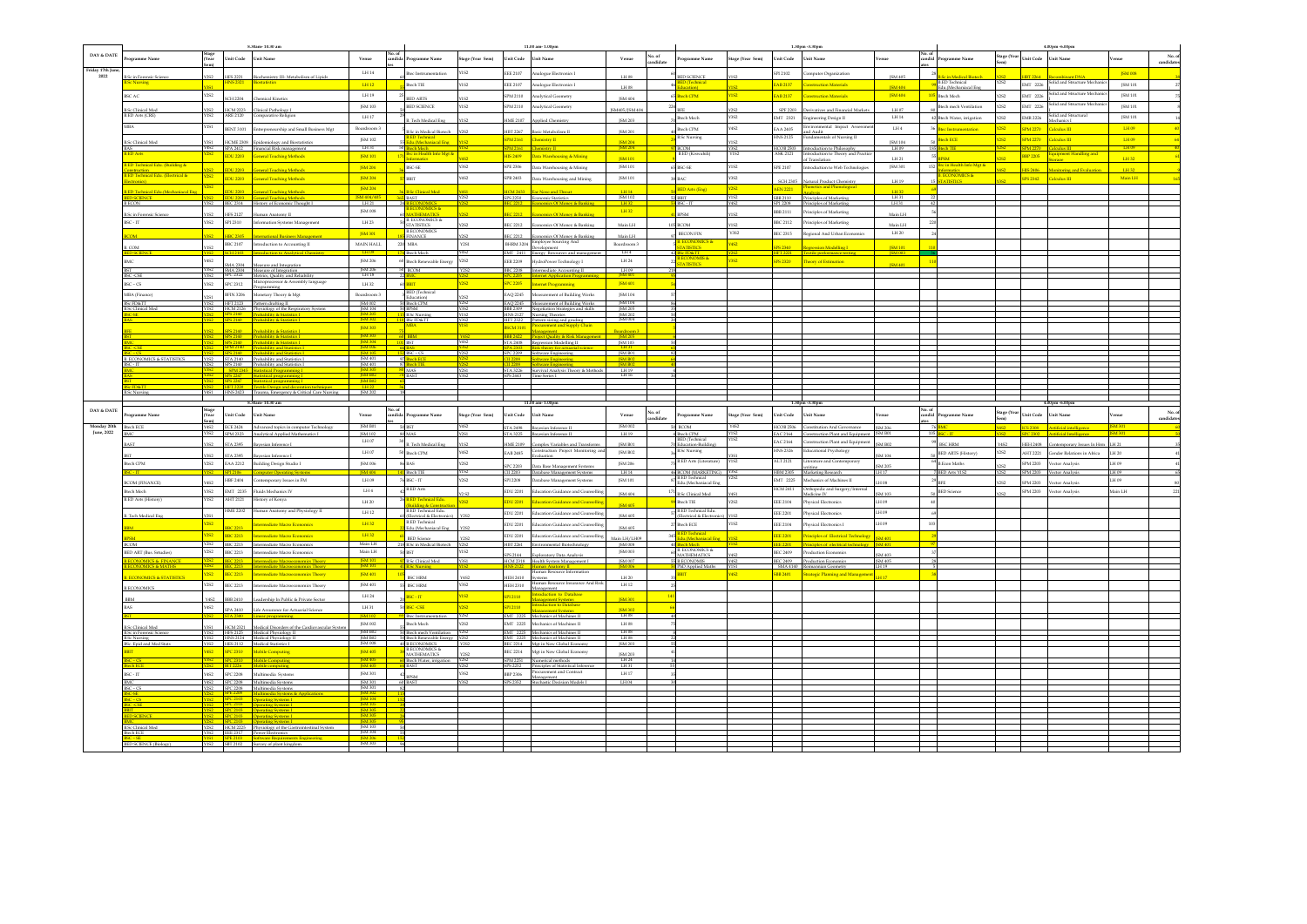|                        |                                                                 |                   |                      | 8.30am-10.30 am                                                                               |                                         |                      |                                                        |                  |                      | 11.00 am-1.00pm                                                                |                                                                   |                     |                                                 |                               |                     | 1.30pm -3.30pm                                                                     |                   |        |                                                       |                                         |                       | 4.00pm -6.00pm                                                                                 |                |                      |
|------------------------|-----------------------------------------------------------------|-------------------|----------------------|-----------------------------------------------------------------------------------------------|-----------------------------------------|----------------------|--------------------------------------------------------|------------------|----------------------|--------------------------------------------------------------------------------|-------------------------------------------------------------------|---------------------|-------------------------------------------------|-------------------------------|---------------------|------------------------------------------------------------------------------------|-------------------|--------|-------------------------------------------------------|-----------------------------------------|-----------------------|------------------------------------------------------------------------------------------------|----------------|----------------------|
| DAY & DATE             | ogramme Name                                                    | Stage<br>(Year    | <b>Unit Code</b>     | Unit Name                                                                                     | Venue                                   | candida <sup>1</sup> | rogramme Name                                          | Stage (Year Sem) | <b>Unit Code</b>     | <b>Unit Name</b>                                                               | Venue                                                             | No. of<br>candidate | rogramme Name                                   | Stage (Year Sem)              | Unit Code Unit Name |                                                                                    | enue              |        | candid Programme Name                                 | Stage (Year Unit Code Unit Name<br>Sem) |                       |                                                                                                | enue           | No. of<br>candidates |
|                        |                                                                 |                   |                      |                                                                                               |                                         |                      |                                                        |                  |                      |                                                                                |                                                                   |                     |                                                 |                               |                     |                                                                                    |                   |        |                                                       |                                         |                       |                                                                                                |                |                      |
| riday 17th Jun<br>2022 | ic in Forensic Scienc                                           |                   | HPS 2221             | Biochemistry III- Metabolism of Lipids                                                        | LH14                                    |                      | Btec Instrumentation                                   | Y1S2             | <b>EEE 2107</b>      | Analogue Electronics I                                                         | $\mathop{\rm LH}\nolimits$ 08                                     |                     | ED SCIENCE                                      |                               | SPI 2102            | Computer Organization                                                              | JSM 405           |        |                                                       |                                         | <b>BT 2264</b>        |                                                                                                | <b>ISM 008</b> |                      |
|                        | c Nursing                                                       |                   | <b>HNS2321</b>       | <b>Biostatistics</b>                                                                          | LH12                                    |                      | Btech TIE                                              | 1S2              | EEE 2107             | Analogue Electronics I                                                         |                                                                   |                     |                                                 |                               |                     | EAB 2137 Construction Materials                                                    | <b>ISM 404</b>    |        | <mark>B.Sc in Medical Biotec</mark><br>B.ED Technical | Y2S2                                    |                       | $EMT 2226 \begin{tabular}{ c c } \hline Solid and Structure Mechanics \\ \hline \end{tabular}$ | JSM 101        |                      |
|                        | BSC AC                                                          | Y2S2              |                      |                                                                                               | LH19                                    |                      |                                                        |                  | SPM 2110             | Analytical Geometry                                                            | LH 08                                                             |                     | fucation)<br>ech CPM                            | <b>Y1S2</b>                   |                     | <b>EAB 2137</b> Construction Materials                                             | JSM 404           |        | Edu.(Mechaniacal Ene<br>105 Blech Mech                | <b>252</b>                              |                       | EMT 2226 Solid and Structure Mechan                                                            | ISM 101        |                      |
|                        |                                                                 |                   |                      | SCH 2204 Chemical Kinetics                                                                    |                                         |                      | <b>ED ARTS</b>                                         | 1S2              |                      |                                                                                | ISM 404                                                           |                     |                                                 |                               |                     |                                                                                    |                   |        |                                                       |                                         |                       | Solid and Structure Mechanic                                                                   |                |                      |
|                        | <b>B.Sc Clinical Med<br/>B.ED Arts (CRE)</b>                    | $\frac{2S2}{1S2}$ |                      | HCM 2223<br>Clinical Pathology I<br>ARE 2120 Comparative Religio                              | ISM 103                                 |                      | BED SCIENCE                                            | <b>CPIY</b>      | SPM 2110             | Analytical Geometry                                                            | ISM405/ISM 404                                                    |                     |                                                 |                               |                     | SPF 2203 Derivatives and Financial Markets                                         | LH 07             |        | Rtech mech Ventilation                                | non.                                    | FMT 2226              |                                                                                                | ISM 101        |                      |
|                        |                                                                 |                   |                      | Comparative Religion                                                                          | LH 17                                   |                      | <b>B.</b> Tech Medical Eng.                            |                  | <b>HME 2107</b>      | Applied Chemistry                                                              | ISM 203                                                           |                     | Btech Mech                                      | Y3S2                          |                     | $\begin{tabular}{ll} \bf{EMT} & \tt 2321 & Engineering Design II \\ \end{tabular}$ | $1.11\,14$        |        | 42 Btech Water, irrigation                            | 2S2                                     | <b>EMR 2226</b>       | Solid and Structura<br>Mechanics I                                                             | JSM 101        |                      |
|                        | <b>MRA</b>                                                      |                   |                      | BENT 3101 Entrepreneurship and Small Business Mgt                                             | Boardroom 3                             |                      |                                                        |                  |                      |                                                                                |                                                                   |                     | <b>Bloch CPM</b>                                | Y4S2                          |                     | EAA 2405 Environmental Impact Assessme                                             | LH4               |        | <b>Bas fortermonistics</b>                            |                                         | SPM 2270 Calculus III |                                                                                                | LH 09          |                      |
|                        |                                                                 |                   |                      |                                                                                               | ISM 102                                 |                      | Sc in Medical Biotech<br><b>B.ED Technical</b>         |                  | HBT 2267             | lasic Metabolism II<br>SPM 2161 Chemistry II                                   | ISM 201                                                           |                     | <b>B.Sc Nursing</b>                             |                               |                     | and Audit<br>HNS 2125 Fundamentals of Nursing II                                   |                   |        | och FCE                                               |                                         |                       | SPM 2270 Calculus III                                                                          | LH 09          |                      |
|                        | <b>B.Sc Clinical Med</b>                                        |                   |                      | HCME 2308 Freidernielnes and Biostatistic                                                     | LH31                                    |                      | idu.(Mechaniacal Eng                                   |                  |                      |                                                                                | <b>ISM 204</b>                                                    |                     |                                                 |                               |                     |                                                                                    | <b>ISM 104</b>    | 185    |                                                       |                                         |                       |                                                                                                | H09            |                      |
|                        | D Arts                                                          |                   |                      | SPA 2412 Financial Risk management<br>EDU 2203 General Teaching Methods                       | JSM 101                                 |                      | tech Mech<br><b>Bsc in Health Info Mgt &amp;</b>       |                  | HIS 2409             | SPM 2161 Chemistry II<br>Data Warehousing & Mining                             | JSM 204                                                           |                     | <b>BCOM</b><br>B.ED (Kiswahili)                 | Y3S2<br>Y152                  | <b>ASK 2121</b>     | HCOB 2503 Introduction to Philosophy<br>Introduction to Theory and Pract           | LH 09             |        | ch TIE                                                |                                         | <b>BBP 2205</b>       | SPM 2270 Calculus III<br>uipment Handling and                                                  |                |                      |
|                        | D Technical Edu. (Building &                                    |                   |                      |                                                                                               |                                         |                      |                                                        |                  |                      |                                                                                | <b>ISM 101</b>                                                    |                     |                                                 |                               |                     | of Translation                                                                     | LH 21             |        | in Health Info Mgt &                                  |                                         |                       | gage a                                                                                         | LH32           |                      |
|                        | struction                                                       |                   | <b>EDU 2203</b>      | <b>General Teaching Methods</b>                                                               | <b>ISM 204</b>                          |                      | <b>BSC-SE</b>                                          | Y3S2             |                      | SPE 2306 Data Warehousing & Mining                                             | ISM 101                                                           |                     | <b>BSC-SE</b>                                   | <b>Y1S2</b>                   |                     | SPE 2107 Introduction to Web Technologies                                          | JSM 301           | 152    | armatics<br>ECONOMICS &                               |                                         | <b>HIS 2406</b>       | Monitoring and Evaluation                                                                      | TH 32          |                      |
|                        | serucium<br>D'Technical Edu. (Electrical &<br>ctronics) and the |                   |                      | EDU 2203 General Teaching Methods                                                             | <b>ISM 204</b>                          |                      | <b>BBIT</b>                                            | Y4S2             |                      | SPB 2403 Data Warehousing and Mining                                           | ISM 101                                                           |                     | nac.                                            | V3S2                          |                     | SCH 2305 Natural Product Chemistry                                                 | LH19              |        | <b>VIISTICS</b>                                       |                                         |                       | SPS 2342 Calculus III                                                                          | Main LH        |                      |
|                        |                                                                 |                   | <b>EDIT 2203</b>     |                                                                                               | JSM 204                                 |                      | Se Clinical Med                                        |                  |                      | and Theory                                                                     |                                                                   |                     | <b>ED Arts (Eng)</b>                            | <b>Y2S2</b>                   |                     | <b>AEN 2221</b> Phonetics and Phonol                                               | THAT.             |        |                                                       |                                         |                       |                                                                                                |                |                      |
|                        | 2 Technical Edu (Mechan                                         |                   |                      | <b>Ceneral Teaching Method</b>                                                                |                                         |                      | <b>BAST</b>                                            |                  | <b>ICM 2433</b>      | SPS 2250 Economic Statistics                                                   | $\begin{array}{r}\n[H14] \overline{)5M102} \\ [H32]\n\end{array}$ |                     |                                                 | Y1S2                          |                     | SBB 2110 Principles of Marketing                                                   | LH31              |        |                                                       |                                         |                       |                                                                                                |                |                      |
|                        | <b>BECON</b>                                                    |                   |                      | Y3S2 BEC 2314 History of Economic Thought I                                                   | LH21                                    |                      | <b>CONOMICS &amp;</b>                                  |                  |                      | <b>Economics Of Money &amp; Bankin</b>                                         |                                                                   |                     | BSC-IT                                          | Y4S2                          |                     | SP1 2208 Principles of Marketine                                                   | LH 31             |        |                                                       |                                         |                       |                                                                                                |                |                      |
|                        | <b>B.Sc in Forensic Science</b>                                 | Y1S2              |                      | HPS 2127 Human Anatomy II                                                                     | <b>ISM 008</b>                          |                      |                                                        |                  |                      | <b>EC 2212</b> Economics Of Money & Banking                                    | $\mathbf{L} \mathbf{H} \, \mathbf{32}$                            |                     | <b>BPSM</b>                                     | Y1S2                          | BBB 2111            | Principles of Marketing                                                            | Main LH           |        |                                                       |                                         |                       |                                                                                                |                |                      |
|                        | BSC - IT                                                        |                   |                      | Y3S2 SPI 2310 Information Systems Management                                                  | LH 23                                   |                      | <b>B. ECONOMICS &amp;</b><br><b>POILETINE</b>          |                  |                      | BEC 2212 Economics Of Money & Banking                                          | Main LH                                                           |                     | <b>COM</b>                                      |                               |                     | BBC 2112 Principles of Marketing                                                   | Main LH           |        |                                                       |                                         |                       |                                                                                                |                |                      |
|                        |                                                                 |                   | HRC 2305             |                                                                                               | JSM 301                                 |                      | <b>B.ECONOMICS</b>                                     |                  | <b>REC 2212</b>      |                                                                                |                                                                   |                     | BECON FIN                                       | Y352                          |                     | BEC 2315 Regional And Urban Economics                                              | LH 20             |        |                                                       |                                         |                       |                                                                                                |                |                      |
|                        |                                                                 |                   |                      | BBC 2107 Introduction to Accounting II                                                        | MAIN HALL                               |                      | <b>INANCE</b><br><b>MBA</b>                            | Y251             |                      | conomics Of Money & Banking<br>BHRM 3204 Employee Sourcing And                 | Main LH<br>Boardroom 3                                            |                     | <b>ECONOMICS &amp;</b>                          | Vice <sub>2</sub>             |                     |                                                                                    |                   |        |                                                       |                                         |                       |                                                                                                |                |                      |
|                        |                                                                 |                   | <b>SCH 2103</b>      |                                                                                               | LH 09                                   | 220                  | tech Mech                                              |                  |                      | vlooment<br>EMT 2411 Energy Resources and ma                                   | LHA                                                               |                     | <b>SCEDATT</b>                                  | <b>Y2S2</b>                   | <b>CARD</b>         | .<br>mession Modelling I<br>HFT 2221 Textile performance testing                   | <b>ISM 003</b>    |        |                                                       |                                         |                       |                                                                                                |                |                      |
|                        |                                                                 | <b>Y4S2</b>       |                      |                                                                                               | <b>ISM 206</b>                          |                      | 60 Btech Renewable Energy                              | Y2S2             |                      | EER 2209 HydroPower Technology I                                               | LH 24                                                             |                     | ECONOMIS &<br>ATISTICS                          | <b>Y3S2</b>                   |                     | SPS 2320 Theory of Estimation                                                      |                   |        |                                                       |                                         |                       |                                                                                                |                |                      |
|                        |                                                                 |                   |                      | SMA 2304 Measure and Integration<br>Y3S2 SMA 2304 Measure of Integration                      | <b>ISM 206</b>                          |                      | 50 BCOM                                                |                  |                      | BBC 2208 Intermediate Accounting II                                            | LH 09                                                             |                     |                                                 |                               |                     |                                                                                    | JSM 401           |        |                                                       |                                         |                       |                                                                                                |                |                      |
|                        | SC-CSE                                                          |                   |                      | SPC 2322 Metrics, Quality and Reliability                                                     | LH <sub>18</sub>                        |                      |                                                        |                  |                      | <b>Internet Application Program</b>                                            |                                                                   |                     |                                                 |                               |                     |                                                                                    |                   |        |                                                       |                                         |                       |                                                                                                |                |                      |
|                        | $BSC - CS$                                                      | Y3S2              | <b>SPC 2312</b>      | Microprocessor & Assembly language<br>Programming                                             | LH 32                                   |                      | 60 BBIT                                                | 292              | <b>SPC 2205</b>      | Internet Programming                                                           | <b>ISM 401</b>                                                    |                     |                                                 |                               |                     |                                                                                    |                   |        |                                                       |                                         |                       |                                                                                                |                |                      |
|                        | MBA (Finance)                                                   |                   |                      | BFIN 3206 Monetary Theory & Mgt                                                               | Boardroom 3                             |                      | <b>BED</b> (Technical                                  |                  |                      | EAQ 2245 Measurement of Building Works                                         | JSM 104                                                           |                     |                                                 |                               |                     |                                                                                    |                   |        |                                                       |                                         |                       |                                                                                                |                |                      |
|                        | <b>BSc FD&amp;TT</b>                                            |                   |                      | HFT 2123 Pattern drafting II                                                                  | <b>ISM 002</b>                          |                      | <b>Education</b><br><b>Btech CPM</b>                   |                  |                      | EAO 2245 Measurement of Building Works                                         | <b>ISM 104</b>                                                    |                     |                                                 |                               |                     |                                                                                    |                   |        |                                                       |                                         |                       |                                                                                                |                |                      |
|                        | <b>1.Sc</b> Clinical Med                                        |                   |                      | HCM 2126 Physiology of the Respiratory Syste<br><b>Probability &amp; Statistics L.</b>        | JSM 104                                 |                      | 50 BPSM<br><b>B.Sc Nursing</b>                         | Y3S2             |                      | BBB 2309 Negotiation Strategies and skills<br>HNS 2127 Nursing Theories        | JSM 205<br>ISM 202                                                |                     |                                                 |                               |                     |                                                                                    |                   |        |                                                       |                                         |                       |                                                                                                |                |                      |
|                        |                                                                 |                   |                      | SPS 2140 Probability & Statistics 1                                                           | 15M302                                  |                      | <b>BSc FD&amp;TT</b>                                   | Y3S2             |                      | HFT 2322 Pattern sizing and grading                                            | <b>ISM 004</b>                                                    |                     |                                                 |                               |                     |                                                                                    |                   |        |                                                       |                                         |                       |                                                                                                |                |                      |
|                        |                                                                 |                   | SPS 2140             | Probability & Statistics I                                                                    | JSM 303                                 |                      | <b>MBA</b>                                             | YISI.            |                      | <b>BSCM 3101</b> Procurement and Supply Chain<br>Management                    | Boardroom 3                                                       |                     |                                                 |                               |                     |                                                                                    |                   |        |                                                       |                                         |                       |                                                                                                |                |                      |
|                        |                                                                 |                   |                      |                                                                                               |                                         |                      | 15M 303<br>15M 304 101 BST                             |                  |                      | Project Ouality & Risk Management                                              | <b>ISM 205</b>                                                    |                     |                                                 |                               |                     |                                                                                    |                   |        |                                                       |                                         |                       |                                                                                                |                |                      |
|                        |                                                                 |                   |                      | SPM 2140 Probability and Statistics I                                                         | <b>JSM 006</b>                          |                      |                                                        | Y4S2             |                      | STA 2408 Regression Modelling II<br>SPA 2303 Risk theory for actuarial science | [SM 103]<br>L <sub>H31</sub>                                      |                     |                                                 |                               |                     |                                                                                    |                   |        |                                                       |                                         |                       |                                                                                                |                |                      |
|                        |                                                                 |                   |                      | VIS2 SPS 2140 Probability and Statistics 1<br>VIS2 STA 2140 Probability and Statistics 1      | $\frac{\text{ISM 105}}{\text{ISM 401}}$ |                      | $152$ RSC - CS                                         | Y2S2             |                      | SPC 2209 Software Engineering SM B01 ISM B01                                   |                                                                   |                     |                                                 |                               |                     |                                                                                    |                   |        |                                                       |                                         |                       |                                                                                                |                |                      |
|                        | <b>B. ECONOMICS &amp; STATISTICS</b><br>r.m                     |                   |                      | 2S2 SPS 2140 Probability and Statistics I                                                     | JSM 401                                 |                      | 97 Btech ECE<br>sch TIE.                               |                  |                      | CII 2208 Software Engineering                                                  | SSM B02<br><b>ISM BO2</b>                                         |                     |                                                 |                               |                     |                                                                                    |                   |        |                                                       |                                         |                       |                                                                                                |                |                      |
|                        |                                                                 |                   |                      | SP SPM 2345 Statistical Programming I<br>SP SPS 2247 Statistical programming I                | $\frac{\text{JSM 305}}{\text{JSM B02}}$ |                      | MAS                                                    |                  |                      | STA 3226 Survival Analysis Theory & Methods                                    | $\frac{\text{LH}19}{\text{LH}16}$                                 |                     |                                                 |                               |                     |                                                                                    |                   |        |                                                       |                                         |                       |                                                                                                |                |                      |
|                        |                                                                 |                   |                      | SPS 2247 Statistical programming 1<br>HFT 2220 Textile Design and decoration techniques       | <b>ISM B02</b>                          |                      | 74 BAST                                                | Y3S2             |                      | SPS 2443 Time Series I                                                         |                                                                   |                     |                                                 |                               |                     |                                                                                    |                   |        |                                                       |                                         |                       |                                                                                                |                |                      |
|                        | <b>B.Sc Nursine</b>                                             |                   |                      | Y4S1 HNS 2423 Trauma, Emergency & Critical Care Nursing                                       | $\frac{LH22}{JSM 202}$                  |                      |                                                        |                  |                      |                                                                                |                                                                   |                     |                                                 |                               |                     |                                                                                    |                   |        |                                                       |                                         |                       |                                                                                                |                |                      |
|                        |                                                                 |                   |                      |                                                                                               |                                         |                      |                                                        |                  |                      |                                                                                |                                                                   |                     |                                                 |                               |                     |                                                                                    |                   |        |                                                       |                                         |                       |                                                                                                |                |                      |
|                        |                                                                 |                   |                      |                                                                                               |                                         |                      |                                                        |                  |                      |                                                                                |                                                                   |                     |                                                 |                               |                     |                                                                                    |                   |        |                                                       |                                         |                       |                                                                                                |                |                      |
|                        |                                                                 |                   |                      | 8 90am, 10 90 am                                                                              |                                         |                      |                                                        |                  |                      |                                                                                |                                                                   |                     |                                                 |                               |                     |                                                                                    |                   |        |                                                       |                                         |                       |                                                                                                |                |                      |
| DAY & DATE             | rogramme Name                                                   |                   | Unit Code            | Unit Name                                                                                     | Venue                                   |                      | candida Programme Name                                 | Stage (Year Sem) | Unit Code Unit Name  |                                                                                | Venue                                                             |                     | rogramme Name                                   | Stage (Year Sem)              | Unit Code           | <b>Unit Name</b>                                                                   | znue              | candid | ogramme Name                                          | Stage (Year Unit Code<br>Sem)           |                       | Unit Name                                                                                      | enue           |                      |
| Monday 20th            | <b>Btech ECE</b>                                                |                   |                      |                                                                                               |                                         |                      | 50 BST                                                 | <b>Y4S2</b>      |                      |                                                                                |                                                                   | No. of<br>candidate | <b>BCOM</b>                                     | Y4S2                          |                     |                                                                                    |                   |        |                                                       |                                         | <b>ICS 2308</b>       |                                                                                                |                | No. of<br>candidates |
| June, 2022             |                                                                 |                   |                      | Y4S2 ECE 2424 Advanced topics in computer Technology<br>Y3S2 SPM 2323 Analytical Applied Math | JSM B01<br>ISM 102                      |                      | <b>ZAN</b>                                             |                  |                      | STA 2498 Bayesian Inference II                                                 | JSM 002<br>LH19                                                   |                     |                                                 |                               |                     | HCOB 2506 Constitution And Governance<br>EAC 2164 Construction Plant an            | <b>ISM 206</b>    |        |                                                       |                                         |                       | Artificial intelligence                                                                        |                |                      |
|                        |                                                                 |                   | <b>STA 2395</b>      | esian Inference I                                                                             | LH 07                                   |                      | .<br>Tech Medical Eng                                  |                  | HME 2109             | omplex Variables and Transforms                                                | <b>ISM B01</b>                                                    |                     | Rech CPM<br>RED (Technical<br>ducation-Building | YIS2                          |                     | EAC 2164 Construction Plant and Equipment                                          | M RD              |        | <b>ISC HRM</b>                                        |                                         | <b>IEH 2408</b>       | orary fectors in Hr                                                                            |                |                      |
|                        |                                                                 |                   |                      |                                                                                               | 1.14.07                                 |                      | 50 Btech CPM                                           | Y4S2             | <b>EAB 2485</b>      | Construction Project Monitoring and                                            | ISM B02                                                           |                     | 3.Sc Nursing                                    |                               |                     | HNS 2326 Educational Psychology                                                    |                   |        | <b>BED ARTS (History)</b>                             | CPCV                                    |                       | AHT 2221 Gender Relations in Africa                                                            | LH 20          |                      |
|                        | Rtoch CPM                                                       | <b>V2S2</b>       | <b>STA 2395</b>      | Bayesian Inference I                                                                          | ISM 006                                 |                      |                                                        | Y2S2             |                      | Evaluation                                                                     | <b>ISM 206</b>                                                    |                     | <b>B.ED Arts (Literature)</b>                   | Y <sub>1</sub> S <sub>2</sub> |                     | ALT 2121 Literature and Contemporary                                               |                   |        | <b>R</b> From Maths                                   |                                         |                       | SPM 2203 Vector Analysis                                                                       | <b>PD H 1</b>  |                      |
|                        |                                                                 |                   |                      | EAA 2212 Building Design Studio I                                                             |                                         |                      | 86 BAS                                                 |                  | SPC 2203             | Data Base Management Systems                                                   |                                                                   |                     |                                                 |                               |                     |                                                                                    | SM 205            |        |                                                       |                                         |                       |                                                                                                |                |                      |
|                        | $C-IT$                                                          |                   | SPI 2106<br>HBF 2404 | <b>Computer Operating System</b>                                                              | ISM 404<br>LH 09                        |                      | <b>Btech TIE</b><br>76 BSC - IT                        | Y2S2             | CII 2203<br>SPI 2208 | Database Manaeement Systems<br>Database Management Systems                     | LH14<br><b>ISM 101</b>                                            |                     | <b>46 BCOM (MARKETING)</b> Y3S<br>LED Technical | Y2S2                          |                     | writine<br>HBM 2305 Marketine Research<br>EMT 2225 Mechanics of Machines II        |                   |        | <b>BED Arts YIS2</b>                                  |                                         |                       | SPM 2203 Vector Analysis                                                                       | LH 09<br>LH 09 |                      |
|                        | <b>BCOM (FINANCE</b>                                            | CRS3              |                      | Contemporary Issues in ${\rm FM}$                                                             |                                         |                      | <b>B.ED</b> Arts                                       |                  |                      |                                                                                |                                                                   |                     | du. (Mechaniacal Ens                            |                               |                     |                                                                                    | H OR              |        |                                                       |                                         | <b>SPM 2203</b>       | Vector Analysis                                                                                |                |                      |
|                        | Btech Mech                                                      | visto –           |                      | Y3S2 EMT 2235 Fluids Mechanics IV                                                             | $1.14\,$ 4                              |                      |                                                        | Y2 S2            |                      | EDU 2201 Education Guidance and Counselling                                    | ISM 404                                                           | 171                 | <b>B.Sc Clinical Med</b>                        | Y4S1                          |                     | HCM 2411 Orthopedic and Surgery/Interna<br>Medicine IV                             | <b>ISM 103</b>    |        | <b>BED</b> Science                                    |                                         |                       | SPM 2203 Vector Analysis                                                                       | H.I nisM       |                      |
|                        | <b>B.ED Arts (History</b>                                       |                   | AHT 2121             | History of Kenya                                                                              | LH 20                                   |                      | 26 <mark>B.ED Technical Edu</mark>                     | <b>Y2S2</b>      |                      | <b>EDU 2201</b> Education Guidance and Counselling                             | ISM 405                                                           |                     | Btech TIE                                       | Y2S2                          |                     | EEE 2104 Physical Electronics                                                      | LH 09             |        |                                                       |                                         |                       |                                                                                                |                |                      |
|                        |                                                                 |                   |                      | HME 2202 Human Anatomy and Physiology II                                                      | LH 12                                   |                      | B.ED Technical Edu.                                    |                  |                      | EDU 2201 Education Guidance and Counselling                                    | <b>15M 405</b>                                                    |                     | <b>B.ED Technical Edu.</b>                      |                               |                     | EEE 2201 Physical Electronics                                                      | LH 09             |        |                                                       |                                         |                       |                                                                                                |                |                      |
|                        | <b>B.</b> Tech Medical En-                                      | 2S2               |                      | Intermediate Macro Economics                                                                  | LH32                                    |                      | <b>(Electrical &amp; Electrical</b>                    |                  |                      | EDU 2201 Education Guidance and Counselling                                    |                                                                   |                     | <b>lectrical &amp; Electr</b><br>Btech ECE      | Y1S2                          |                     | EEE 2104 Physical Electronics I                                                    | H 09              |        |                                                       |                                         |                       |                                                                                                |                |                      |
|                        |                                                                 |                   | <b>BBC 2213</b>      |                                                                                               |                                         |                      | Edu.(Mechaniacal Eng                                   | <b>V2S2</b>      |                      |                                                                                | ISM 405                                                           |                     |                                                 |                               |                     | <b>EEE 2201</b> Principles of Electrical Technole                                  |                   |        |                                                       |                                         |                       |                                                                                                |                |                      |
|                        |                                                                 |                   |                      | 282 BBC 2213 Intermediate Macro Economics                                                     | LH32                                    |                      | <b>BED</b> Science                                     |                  |                      | EDU 2201 Education Guidance and Counselling                                    | Main LH/LH09                                                      |                     | D Technical<br>1.(Mechaniacal Eng               |                               |                     |                                                                                    |                   |        |                                                       |                                         |                       |                                                                                                |                |                      |
|                        | <b>BCOM</b>                                                     | Y2S2              |                      | Y2S2 BBC 2213 Intermediate Macro Economics                                                    | Main LH<br>Main LH                      |                      | 218 B.Sc in Medical Biotech                            | Y2S2<br>Y1S2     |                      | HBT 2261 Environmental Biotechnology                                           | ISM ODS<br>ISM 003                                                |                     | ch Mech<br><b>ECONOMICS &amp;</b>               |                               | EE 2201             | Principles of electrical techno-                                                   | M 401             |        |                                                       |                                         |                       |                                                                                                |                |                      |
|                        | <b>BED ART</b> (Bus. Srtudies)                                  |                   | <b>BBC 2213</b>      | Intermediate Macro Economics                                                                  | <b>ISM 101</b>                          |                      | 50 BST<br><b>B.Sc Clinical Med</b>                     |                  | SPS 2144             | Exploratory Data Analysis                                                      | <b>JSM 007</b>                                                    |                     | <b>IATHEMATICS</b><br><b>ECONOMIS</b>           |                               | <b>BEC 2409</b>     | Production Economics<br>BEC 2409 Production Economics                              | SM 403<br>ISM 405 |        |                                                       |                                         |                       |                                                                                                |                |                      |
|                        |                                                                 |                   |                      | BEC 2213 Intermediate Macroeconomics That                                                     | <b>JSM 101</b>                          |                      | 41 B.Sc Nursing                                        |                  |                      | HCM 2318 Health System Management I<br>HNS 2122 Human Anatomy II               | <b>ISM 006</b>                                                    |                     | hD Applied Maths                                |                               |                     | SMA 4140 Reimannian Geometry                                                       |                   |        |                                                       |                                         |                       |                                                                                                |                |                      |
|                        | <b>ECONOMICS &amp; STATISTICS</b>                               |                   |                      | 252 BEC 2213 Intermediate Macroeconomics Theory                                               | JSM 401                                 | 105                  | <b>BSC HRM</b>                                         | Y4S2             |                      | Human Resource Information                                                     | LH 20                                                             |                     | $\overline{\text{BIT}}$                         | <b>Y4S2</b>                   |                     | 8B 2401 Strategic Planning and Mana                                                |                   |        |                                                       |                                         |                       |                                                                                                |                |                      |
|                        |                                                                 | Y2S2              | <b>BEC 2213</b>      | Intermediate Macroeconomics Theory                                                            | JSM 401                                 |                      | <b>BSC HRM</b>                                         | <b>Y3S2</b>      |                      | HEH 2410 Systems<br>Human Resource Insurance And Risk                          | LH 12                                                             |                     |                                                 |                               |                     |                                                                                    |                   |        |                                                       |                                         |                       |                                                                                                |                |                      |
|                        | <b>B.ECONOMICS</b>                                              |                   |                      |                                                                                               | LH 24                                   |                      | BSC-TT                                                 | Y1S2             | SPI 2110             |                                                                                |                                                                   |                     |                                                 |                               |                     |                                                                                    |                   |        |                                                       |                                         |                       |                                                                                                |                |                      |
|                        |                                                                 | 10 <sup>2</sup>   | BBB 2410             | adership In Public & Private Sector                                                           |                                         |                      |                                                        |                  |                      | dution<br>Management<br><b>Construction to Database</b>                        | <b>ISM 301</b>                                                    |                     |                                                 |                               |                     |                                                                                    |                   |        |                                                       |                                         |                       |                                                                                                |                |                      |
|                        |                                                                 |                   | Y4S2 SPA 2410        | Life Assurance for Actuarial Science                                                          | LH 31                                   |                      | 50 BSC-CSE                                             | Y2S2             | SPI 2110             | Management Systems<br>Introduction to Database<br><b>Janagement Systems</b>    | <b>ISM 307</b>                                                    |                     |                                                 |                               |                     |                                                                                    |                   |        |                                                       |                                         |                       |                                                                                                |                |                      |
|                        |                                                                 |                   |                      | STA 2300 Linear programming                                                                   | <b>JSM 102</b>                          |                      | Btec Instrumentation                                   | Y2S2             |                      | EMT 2225 Mechanics of Machines II                                              | $LH$ <sub>08</sub>                                                |                     |                                                 |                               |                     |                                                                                    |                   |        |                                                       |                                         |                       |                                                                                                |                |                      |
|                        | <b>B.Sc Clinical Med</b>                                        |                   |                      | HCM 2321 Medical Disorders of the Cardiovascular System                                       | JSM 002                                 |                      | <b>Btech Mech</b>                                      | Y2S2             |                      | EMT 2225 Mechanics of Machines II                                              | $1\mathrm{H}\,08$                                                 |                     |                                                 |                               |                     |                                                                                    |                   |        |                                                       |                                         |                       |                                                                                                |                |                      |
|                        | in Forensic Scienc<br><b>B.Sc Nursing</b>                       |                   |                      | VIS2 HPS 2125 Medical Physiology II<br>VIS2 HNS 2124 Medical Physiology II                    | <b>ISM B02</b><br><b>ISM B02</b>        |                      | <b>Rech mech Ven</b><br>50 Btech Renewable Energy Y2S2 |                  |                      | <b>EMT</b> 2225 Mechanics of Machines II<br>EMT 2225 Mechanics of Machines II  | $\frac{\text{LH 08}}{\text{LH 08}}$                               |                     |                                                 |                               |                     |                                                                                    |                   |        |                                                       |                                         |                       |                                                                                                |                |                      |
|                        | RSc. Epid and Med Stats                                         |                   |                      | YIS2 HES 2112 Medical Statistics I                                                            | JSM 008                                 |                      | 40 B.ECONOMICS                                         | Y252             |                      | BEC 2214 Met in New Global Economy                                             | ISM 203                                                           |                     |                                                 |                               |                     |                                                                                    |                   |        |                                                       |                                         |                       |                                                                                                |                |                      |
|                        |                                                                 |                   |                      | Y4S2 SPC 2310 Mobile Computing                                                                | JSM 405                                 |                      | <b>MATHEMATICS</b>                                     | Y2S2             | <b>BEC 2214</b>      | Mgt in New Global Economy                                                      |                                                                   |                     |                                                 |                               |                     |                                                                                    |                   |        |                                                       |                                         |                       |                                                                                                |                |                      |
|                        |                                                                 |                   |                      |                                                                                               | <b>JSM 405</b><br><b>ISM 405</b>        |                      | Btech Water, irrigation Y2S2                           |                  |                      | SPM 2251 Numerical methods<br>SPS 2252 Principles of Statistical Inference     | $\frac{15M}{1H} \frac{203}{24}$<br>LH 31                          |                     |                                                 |                               |                     |                                                                                    |                   |        |                                                       |                                         |                       |                                                                                                |                |                      |
|                        | SC-IT                                                           |                   |                      | Y4S2 SPC 2208 Multimedia Systems                                                              | ISM 301                                 | 42                   | <b>DSM</b>                                             | Y3S2             |                      | BBP 2306 Procurement and Contract<br>Management                                | LH 17                                                             |                     |                                                 |                               |                     |                                                                                    |                   |        |                                                       |                                         |                       |                                                                                                |                |                      |
|                        |                                                                 |                   |                      | Y4S2 SPC 2208 Multimedia Systems                                                              | JSM 301                                 |                      | <b>AST</b>                                             |                  |                      | SPS 2352 Stochastic Decision Models I                                          | LH 04                                                             |                     |                                                 |                               |                     |                                                                                    |                   |        |                                                       |                                         |                       |                                                                                                |                |                      |
|                        | $SC - CS$                                                       |                   |                      | Y2S2 SPC 2208 Multimedia Systems                                                              | JSM 301                                 |                      |                                                        |                  |                      |                                                                                |                                                                   |                     |                                                 |                               |                     |                                                                                    |                   |        |                                                       |                                         |                       |                                                                                                |                |                      |
|                        |                                                                 |                   |                      | <b>Operating Systems I</b>                                                                    | JSM 302<br>JSM 104                      |                      |                                                        |                  |                      |                                                                                |                                                                   |                     |                                                 |                               |                     |                                                                                    |                   |        |                                                       |                                         |                       |                                                                                                |                |                      |
|                        |                                                                 |                   |                      | <b>Operating Systems I</b>                                                                    | <b>ISM 105</b>                          |                      |                                                        |                  |                      |                                                                                |                                                                   |                     |                                                 |                               |                     |                                                                                    |                   |        |                                                       |                                         |                       |                                                                                                |                |                      |
|                        | <b>D SCIENCE</b>                                                |                   |                      | Y152 SPC 2103 Operating Systems I                                                             | JSM 305<br>JSM 305                      |                      |                                                        |                  |                      |                                                                                |                                                                   |                     |                                                 |                               |                     |                                                                                    |                   |        |                                                       |                                         |                       |                                                                                                |                |                      |
|                        | Sc Clinical Med                                                 |                   |                      | 2S2 SPC 2103 Operating Systems I<br>Y2S2 HCM 2225 Physiology of the Gastrointestinal System   | <b>JSM 305</b>                          |                      |                                                        |                  |                      |                                                                                |                                                                   |                     |                                                 |                               |                     |                                                                                    |                   |        |                                                       |                                         |                       |                                                                                                |                |                      |
|                        | Btech ECE<br><b>BED SCIENCE (Biology</b>                        |                   |                      | Y3S2 EEE 2317 Power Electronics<br>YIS2 SBT 2102 Survey of plant kingdom                      | JSM 103<br>JSM 304<br>JSM 303           |                      |                                                        |                  |                      |                                                                                |                                                                   |                     |                                                 |                               |                     |                                                                                    |                   |        |                                                       |                                         |                       |                                                                                                |                |                      |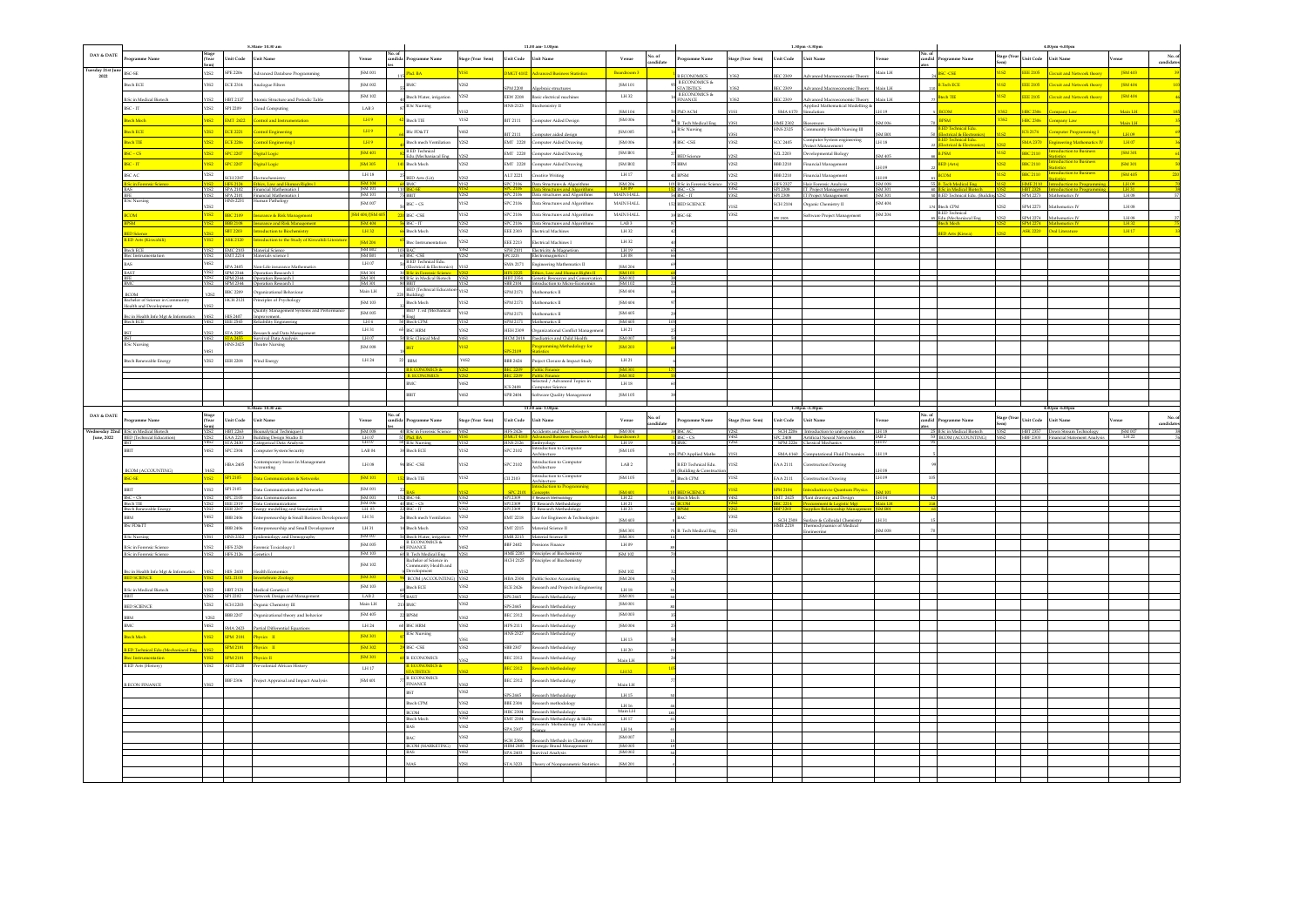|                             |                                                   |                |                             | 8.30am-10.30 am                                                          |                                      |                          |                                                               |                     |                     | 11.00 am-1.00pm                                                                         |                                   |                     |                                              |                     |                     | 1.30pm -3.30pm                                                                              |                                  |        |                                                          |                     |                 | 4.00pm -6.00pm                                           |                  |                      |
|-----------------------------|---------------------------------------------------|----------------|-----------------------------|--------------------------------------------------------------------------|--------------------------------------|--------------------------|---------------------------------------------------------------|---------------------|---------------------|-----------------------------------------------------------------------------------------|-----------------------------------|---------------------|----------------------------------------------|---------------------|---------------------|---------------------------------------------------------------------------------------------|----------------------------------|--------|----------------------------------------------------------|---------------------|-----------------|----------------------------------------------------------|------------------|----------------------|
| DAY & DATE                  | tramme Name                                       | Stage<br>(Year |                             | Unit Code Unit Name                                                      | Venue                                | No. of<br>andida         | ogramme Name                                                  | Stage (Year Sem)    | Unit Code Unit Name |                                                                                         | Venue                             | No. of<br>candidate | ogramme Name                                 | Stage (Year Sem)    | Unit Code Unit Name |                                                                                             | enue                             |        | candid Programme Name                                    | Stage (Year<br>Sem) | Unit Code       | <b>Unit Name</b>                                         | rnue             | No. of<br>candidates |
| Tuesday 21st Jun            |                                                   |                |                             |                                                                          |                                      |                          |                                                               |                     |                     |                                                                                         |                                   |                     |                                              |                     |                     |                                                                                             |                                  |        |                                                          |                     |                 |                                                          |                  |                      |
| 2022                        | <b>BSC-SE</b>                                     | <b>Y2S2</b>    | SPE 2206                    | Advanced Database Programming                                            | JSM 001                              |                          | hd. BA                                                        | YISI <sup>.</sup>   |                     | DMGT 4102 Advanced Business Statistics                                                  | Boardroom 3                       |                     | <b>LECONOMICS</b>                            |                     | <b>IEC 2309</b>     | Advanced Macroeconomic Theory                                                               | H.I nish                         |        | <b>BSC-CSE</b>                                           | nsz.                |                 | EEE 2105 Circuit and Network theory                      | <b>JSM 403</b>   |                      |
|                             | $\operatorname{ch} \operatorname{ECE}$            | Y3S2           | <b>ECE 2314</b>             | Analogue Filters                                                         | JSM 002                              |                          |                                                               | Y2S2                |                     | SPM 2200 Aleebraic structures                                                           | JSM 101                           |                     | <b>B.ECONOMICS &amp;</b><br><b>TATISTICS</b> |                     | EC 2309             | Advanced Macroeconomic Theory                                                               | H.I nisl                         |        | Tech ECE                                                 | nsz.                |                 | EEE 2105 Circuit and Network theory                      | <b>JSM 404</b>   |                      |
|                             | Sc in Medical Biotech                             |                | HBT 2137                    | Atomic Structure and Periodic Table                                      | ISM 102                              |                          | Itech Water, irrigation                                       | Y2S2                |                     | EEW 2208 Basic electrical machines                                                      | LH 32                             |                     | B.ECONOMICS $\&$<br><b>INANCE</b>            |                     | EC 2309             | Advanced Macroeconomic Theory                                                               | fain LH                          |        | <b>Rioch TIE</b>                                         | YIS2                |                 | EEE 2105 Circuit and Network theory                      | <b>ISM 404</b>   | $\frac{1}{46}$       |
|                             | $SC - IT$                                         | Y2S2           | SPI 2209                    | Cloud Computing                                                          | <b>LAB3</b>                          |                          | <b>B.Sc Nursing</b>                                           |                     | <b>HNS 2123</b>     | Biochemistry II                                                                         |                                   |                     |                                              |                     |                     | Applied Mathematical Modelling &                                                            | H 19                             |        |                                                          |                     |                 |                                                          |                  |                      |
|                             | ch Moch                                           |                | Y4S2 EMT 2422               | <b>Control and Instrumentation</b>                                       | LH9                                  |                          | Btech TIE                                                     | Y1S2                |                     | BIT 2111 Computer Aided Design                                                          | ISM 104<br>JSM 006                |                     | hD ACM                                       |                     |                     | SMA 4170 Simulation                                                                         |                                  |        | <b>RPSM</b>                                              | <b>Y3S2</b>         |                 | HBC 2306 Company Law                                     | Main LH          | 35                   |
|                             |                                                   |                |                             |                                                                          |                                      |                          |                                                               |                     |                     |                                                                                         |                                   |                     | B. Tech Medical Eng<br>Sc Nursing            | Y3S1                | IME 2302 Biosensors | INS 2325 Community Health Nursing III                                                       | SM 006                           |        | D Toch                                                   |                     |                 |                                                          | Main LH          |                      |
|                             | di ECE                                            |                | Y2S2 ECE 2221               | <b>Control Engineering</b>                                               | LHS                                  |                          | <b>BSc FD&amp;TT</b>                                          | Y4S2                | BIT 2111            | Computer aided design                                                                   | ISM 005                           |                     |                                              |                     |                     |                                                                                             | ISM B01                          |        | ctrical & Electronics)<br><b>D</b> Tech<br>nical Edu     |                     |                 | ICS 2174 Computer Programming I                          | LH 09            | -69                  |
|                             | ch TIE                                            |                | Y2S2 ECE 2206               | <b>Control Engineering I</b>                                             | $L = 1$                              |                          | Btech mech Ventilation<br><b>RED Technical</b>                | Y2S2                |                     | EMT 2220 Computer Aided Drawine                                                         | <b>JSM 006</b>                    |                     | BSC-CSE                                      | $\sqrt{3}S2$        | <b>SCC 2405</b>     | Computer System engineering<br>Project Management                                           | LH18                             |        | 22 <b>(Electrical &amp; Electronics</b> )                |                     |                 | <b>SMA 2370</b> Engineering Mathematics IV               | LH 07            |                      |
|                             | $SC - CS$                                         |                | Y2S2 SPC 2207               | Digital Logic                                                            | <b>ISM 401</b>                       |                          | Edu.(Mechaniacal Ene                                          | Y2S2                |                     | EMT 2220 Computer Aided Drawing                                                         | ISM R01                           |                     | <b>BED</b> Science                           | Y2S2                |                     | SZL 2203 Developmental Biology                                                              | <b>SM 405</b>                    |        | <b>B.PSM</b>                                             | VIS2.               | <b>BBC 2110</b> | uction to Business<br>istics.                            | <b>JSM 301</b>   | $-61$                |
|                             | $sc.\pi$                                          |                | YIS2 SPC 2207               | Digital Logic                                                            | <b>JSM 305</b>                       |                          | Btech Mech                                                    | Y2S2                |                     | EMT 2220 Computer Aided Drawing                                                         | JSM B02                           |                     | <b>BBM</b>                                   | <b>Y2S2</b>         |                     | BBB 2210 Financial Management                                                               | LH 09                            |        | <b>BED</b> (Arts)                                        | $\frac{1}{252}$     | <b>BBC 2110</b> | uction to Business                                       | JSM 301          | 50                   |
|                             | <b>SCAC</b>                                       | <b>Y2S2</b>    | SCH 2207                    | lectrochemistry                                                          | LH18                                 |                          | ED Arts (Lit)                                                 |                     |                     | ALT 2221 Creative Writing                                                               | LH 17                             |                     | <b>BPSM</b>                                  | Y2S2                |                     | BBB 2210 Financial Management                                                               | H <sub>09</sub>                  |        | <b>RCOM</b>                                              | $152 -$             | BBC 2110 Star   |                                                          | <b>JSM 405</b>   | $-220$               |
|                             | <mark>c in Foren</mark>                           | <b>Y1S2</b>    | <b>HFS 2124</b>             | Ethics, Law and Human Rights I                                           | 35M 104                              |                          | <b>D</b> BMC                                                  | Y1S2                |                     | SPC 2106 Data Structures & Algorithms                                                   | ISM 206                           |                     | B.Sc in Forensic Science Y3S2                |                     |                     | HPS 2327 Hair Forensic Analysis                                                             | ISM 008                          |        | 55 B. Tech Medical Eng                                   |                     |                 | YIS2 HME 2110 Introduction to Program                    | LH09             |                      |
|                             |                                                   |                |                             | YIS2 SPA 2102 Financial Mathematics I                                    | [SM101]                              | 110                      | C-SE<br>$5$ BBIT                                              | Y2S2                |                     | SPC 2106 Data structures and Algorithms                                                 | MAIN HALL                         |                     | $BSC - CS$<br>$SC-IT$                        |                     |                     | SPI 2308 IT Project Management<br>SPI 2308 IT Project Management                            | <b>ISM 301</b><br><b>JSM 301</b> |        | in Modical Biotoch<br>B.ED Technical Edu. (Buildin; Y2S2 |                     |                 | HRT 2328 Introduction to Proc<br>SPM 2273 Mathematics IV | LH31<br>H08      |                      |
|                             | Sc Nursing                                        | Y2S2           |                             | SPA 2101 Financial Mathematics I<br>HNS 2231 Human Pathology             | JSM 007                              |                          | $BSC - CS$                                                    | Y1S2                |                     | SPC 2106 Data Structures and Algorithms                                                 | MAIN HALL                         |                     | 152 BED SCIENCE                              | Y192                |                     | SCH 2104 Organic Chemistry II                                                               | JSM 404                          |        | <b>Btech CPM</b>                                         | C2C                 |                 | SPM 2273 Mathematics IV                                  | $LH$ 08          |                      |
|                             |                                                   |                |                             | YIS2 BBC 2109 Insurance & Risk Management                                | <b>ISM 404/ISM 40</b>                |                          | BSC -CSE                                                      | Y1S2                |                     | SPC 2106 Data Structures and Algorithms                                                 | MAIN HALL                         |                     | BSC-SE                                       | Y3S2                |                     | Software Project Management                                                                 | ISM 204                          |        | B.ED Technical<br>65 Edu.(Mechaniacal Eng                |                     |                 |                                                          |                  |                      |
|                             |                                                   |                | <b>BBB 2108</b>             | <b>Insurance and Risk Manageme</b>                                       | <b>JSM 404</b>                       |                          | BSC-IT                                                        | Y2S2                |                     | SPC 2106 Data Structures and Aleorithms                                                 | LAB <sub>3</sub>                  |                     |                                              |                     | PE 2305             |                                                                                             |                                  |        |                                                          |                     |                 | SPM 2274 Mathematics IV                                  | $LH$ 08          |                      |
|                             |                                                   |                | <b>SBT 2203</b>             | <b>Introduction to Biochemistry</b>                                      | LH32                                 |                          | <b>Btech Mech</b>                                             | Y3S2                |                     | EEE 2303 Electrical Machines                                                            | LH 32                             |                     |                                              |                     |                     |                                                                                             |                                  |        | Arts (Kiswa                                              |                     |                 | <b>ASK 2220</b> Oral Literature                          | LH17             |                      |
|                             | <b>ED Arts (Kiswahili</b>                         | YIS2           | <b>ASK 2120</b>             | Introduction to the Study of Kiswa                                       | <b>ISM 204</b>                       |                          | Btec Instrumentation                                          | Y2S2                |                     | EEE 2213 Electrical Machines I                                                          | LH 32                             |                     |                                              |                     |                     |                                                                                             |                                  |        |                                                          |                     |                 |                                                          |                  |                      |
|                             | <b>Rech ECE</b>                                   | Y1S2           | <b>EMC 2103</b>             | Material Science                                                         | [SM B02]                             |                          |                                                               |                     |                     | SPH 2101 Electricity & Magnetism                                                        | LH 19                             |                     |                                              |                     |                     |                                                                                             |                                  |        |                                                          |                     |                 |                                                          |                  |                      |
|                             | tec Instrumentation                               | Y4S2           |                             | Y1S2 EMT 2214 Materials science I                                        | <b>ISM B01</b><br>LH 07              |                          | 60 BSC-CSE<br><b>B.ED Technical Edu</b>                       | Y2S2                |                     | SPC 2225 Electromagnetics I<br>SMA 2171 Engineering Mathematics II                      | $LH$ 08                           |                     |                                              |                     |                     |                                                                                             |                                  |        |                                                          |                     |                 |                                                          |                  |                      |
|                             |                                                   | Y3S2           | SPA 2405<br><b>SPM 2344</b> | Non-Life insurance Mathematics<br>Operation Research I                   | ISM 301                              |                          | Electrical & Electronics                                      |                     |                     |                                                                                         | JSM 204                           |                     |                                              |                     |                     |                                                                                             |                                  |        |                                                          |                     |                 |                                                          |                  |                      |
|                             |                                                   | Y3S2           | SPM 2344                    | SPM 2344 Operation Research I<br>Operation Research I                    | <b>ISM 301</b><br>ISM 301            |                          | 80 B.Sc in Medical Biotech Y3S2                               | Y1S2                |                     | HBT 2354 Genetic Resources and Conservation<br>SBB 2104 Introduction to Micro-Economics | <b>JSM 002</b><br>ISM 102         |                     |                                              |                     |                     |                                                                                             |                                  |        |                                                          |                     |                 |                                                          |                  |                      |
|                             |                                                   |                | <b>BBC 2209</b>             | Organizational Behaviour                                                 | $\operatorname{Main}$ LH             |                          | BBIT<br>BED (Technical Educati                                | Y1S2                | SPM 2171            | Mathematics II                                                                          | JSM 404                           |                     |                                              |                     |                     |                                                                                             |                                  |        |                                                          |                     |                 |                                                          |                  |                      |
|                             | <b>BCOM</b><br>lachelor of Science in Community   | Y2S2           | HCH 2121                    | Principles of Psychology                                                 | JSM 103                              |                          | 220 Buildine)<br><b>Btech Mech</b>                            | Y1S2                |                     | ${\rm SPM}$ 2171 $\cdots$ Mathematics II                                                | JSM 404                           |                     |                                              |                     |                     |                                                                                             |                                  |        |                                                          |                     |                 |                                                          |                  |                      |
|                             | alth and Development                              |                |                             | Quality Management Systems and Perfor                                    | ISM 005                              |                          | BED T. ed (Mechanical                                         | Y1S2                |                     | SPM 2171 Mathematics II                                                                 | ISM 405                           |                     |                                              |                     |                     |                                                                                             |                                  |        |                                                          |                     |                 |                                                          |                  |                      |
|                             | sc in Health Info Met & Informatics<br>ch ECE     | Y4S2           | HIS 2407<br>E 2545          | rovement.<br>diability Engineering                                       | LHA                                  |                          | tech CPM                                                      |                     | SPM 2171            | Mathematics II                                                                          | [SM 405]                          |                     |                                              |                     |                     |                                                                                             |                                  |        |                                                          |                     |                 |                                                          |                  |                      |
|                             |                                                   |                | <b>STA 2205</b>             | search and Data Managemen                                                | LH 31                                | 65                       | <b>BSC HRM</b>                                                | Y3S2                |                     | HEH 2309 Organizational Conflict Managemen                                              | LH 21                             |                     |                                              |                     |                     |                                                                                             |                                  |        |                                                          |                     |                 |                                                          |                  |                      |
|                             |                                                   | Y4S2           |                             | Survival Data Analysis                                                   | LH07                                 |                          | 10 B.Sc Clinical Med                                          | Y4S1                |                     | HCM 2418 Paediatrics and Child Health                                                   | <b>ISM 007</b>                    |                     |                                              |                     |                     |                                                                                             |                                  |        |                                                          |                     |                 |                                                          |                  |                      |
|                             | <b>Sc Nursing</b>                                 | <b>Y4S1</b>    | <b>INS 2425</b>             | <b>Theatre Nursing</b>                                                   | <b>ISM 008</b>                       |                          | <b>BST</b>                                                    | YIS2                | PS 2109             | Programming Methodology for<br>atistics                                                 | <b>ISM 203</b>                    |                     |                                              |                     |                     |                                                                                             |                                  |        |                                                          |                     |                 |                                                          |                  |                      |
|                             | ech Renewable Energy                              | Y2S2           | <b>EER 2208</b>             | Wind Energy                                                              | LH 24                                | $\overline{\phantom{a}}$ | $_{\rm BBM}$                                                  | Y4S2                |                     | BB 2424 Project Closure & Impact Study                                                  | LH 21                             |                     |                                              |                     |                     |                                                                                             |                                  |        |                                                          |                     |                 |                                                          |                  |                      |
|                             |                                                   |                |                             |                                                                          |                                      |                          |                                                               |                     |                     |                                                                                         |                                   |                     |                                              |                     |                     |                                                                                             |                                  |        |                                                          |                     |                 |                                                          |                  |                      |
|                             |                                                   |                |                             |                                                                          |                                      |                          |                                                               |                     |                     |                                                                                         | <b>ISM 301</b><br><b>ISM 302</b>  |                     |                                              |                     |                     |                                                                                             |                                  |        |                                                          |                     |                 |                                                          |                  |                      |
|                             |                                                   |                |                             |                                                                          |                                      |                          | mс                                                            | Y4S2                | ICS 2408            | Selected / Advanced Topics in<br>Computer Science                                       | $\rm L H\,18$                     |                     |                                              |                     |                     |                                                                                             |                                  |        |                                                          |                     |                 |                                                          |                  |                      |
|                             |                                                   |                |                             |                                                                          |                                      |                          | <b>BIT</b>                                                    | Y4S2                |                     | SPB 2404 Software Quality Management                                                    | ISM 105                           |                     |                                              |                     |                     |                                                                                             |                                  |        |                                                          |                     |                 |                                                          |                  |                      |
|                             |                                                   |                |                             | 30am-10.30 am                                                            |                                      |                          |                                                               |                     |                     |                                                                                         |                                   |                     |                                              |                     |                     |                                                                                             |                                  |        |                                                          |                     |                 |                                                          |                  |                      |
|                             |                                                   |                |                             |                                                                          |                                      |                          |                                                               |                     |                     | 00 am-1.00pm                                                                            |                                   |                     |                                              |                     |                     |                                                                                             |                                  |        |                                                          |                     |                 |                                                          |                  |                      |
| DAY & DATE                  |                                                   |                |                             |                                                                          |                                      |                          |                                                               |                     |                     |                                                                                         |                                   |                     |                                              |                     |                     |                                                                                             |                                  |        |                                                          |                     |                 |                                                          |                  |                      |
|                             | gramme Name                                       |                | Jnit Code                   | Jnit Name                                                                | Venue                                | candida                  | rogramme Name                                                 | tage (Year Sem)     | Jnit Code           | Unit Name                                                                               | Venue                             | No. of<br>indidate  | rogramme Name                                | tage (Year Sem)     | nit Code            | <b>Jnit Name</b>                                                                            |                                  | candid | ogramme Name                                             | Stage (Yea          | nit Code        | Jnit Name                                                | mue              | No. of<br>candidates |
| iednesdav 22n<br>June, 2022 | <b>B.Sc in Medical Biotech</b>                    |                |                             | HBT 2263 Bioanalytical Techniques I                                      | <b>ISM 008</b>                       |                          | 40 B.Sc in Forensic Science                                   |                     |                     | HFS 2426 Accidents and Mass Disasters                                                   | JSM 004                           |                     | <b>SC AC</b>                                 |                     |                     | SCH 2206 Introduction to unit operations                                                    | <b>TH18</b>                      |        | 25 B.Sc in Medical Biotech                               | Y3S2                |                 | HBT 2357 Down Stream Technology                          |                  |                      |
|                             | <b>ED</b> (Technical Education)                   | Y2S2<br>Y4S2   |                             | EAA 2213 Building Design Studio II<br>STA 2430 Categorical Data Analysis | $-11107$                             |                          | 57 <mark>Phd. BA<br/>50 B.Sc Nursing</mark>                   |                     | HNS 2126 Embryology |                                                                                         | L119                              |                     | $BSC - CS$                                   |                     |                     | SPC 2408 Artificial Neural Networks<br>SPM 2226 Classical Mechanics                         |                                  |        | 53 BCOM (ACCOUNTING) Y4S2                                |                     |                 | HBF 2303 Financial Statement Analysis                    | ISM 007<br>IH 22 |                      |
|                             |                                                   | Y4S2           | <b>SPC 2304</b>             | Computer System Security                                                 | LAB 04                               |                          | 38 Btech ECE                                                  | <b>Y1S2</b>         | SPC 2102            | Introduction to Computer<br>Architecture                                                | JSM 105                           |                     | hD Applied Maths                             | VIC1                |                     | SMA 4160 Computational Fluid Dynamics                                                       | FH 19                            |        |                                                          |                     |                 |                                                          |                  |                      |
|                             |                                                   |                | HBA 2405                    | Contemporary Issues In Management                                        | $\operatorname{LH}\operatorname{0S}$ |                          | <b>SC-CSE</b>                                                 | 1S2                 | SPC 2102            | Introduction to Computer                                                                | $_{\rm LAB \, 2}$                 |                     | <b>ED</b> Technical Edu.                     | $\sqrt{\text{1S2}}$ | EAA 2111            | Construction Drawing                                                                        |                                  |        |                                                          |                     |                 |                                                          |                  |                      |
|                             | <b>BCOM (ACCOUNTING)</b>                          | Y4S2           |                             | Seritrucou                                                               |                                      |                          |                                                               |                     |                     | Architecture<br>Introduction to Computer                                                |                                   |                     | Building & Constructi                        |                     |                     |                                                                                             |                                  |        |                                                          |                     |                 |                                                          |                  |                      |
|                             | <b>C-SE</b>                                       |                | Y1S2 SP1 2105               | Data Communication & Networks                                            | <b>ISM101</b>                        |                          | <b>Btech TIE</b>                                              | Y1S2                | CII 2103            | rchitecture                                                                             | ISM 105                           |                     | Btech CPM                                    | Y1S2                |                     | EAA 2111 Construction Drawing                                                               | LH 09                            |        |                                                          |                     |                 |                                                          |                  |                      |
|                             |                                                   | <b>Y1S2</b>    | SPI 2105                    | Data Communication and Networks                                          | JSM 001                              |                          |                                                               |                     | <b>SPC 2101</b>     | Introduction to Progra<br>Concente                                                      | <b>ISM 401</b>                    |                     | <b>D SCIENCE</b>                             | <b>YIS2</b>         | PH 2104             | <b>Introduction to Quantum Physics</b>                                                      | 34101                            |        |                                                          |                     |                 |                                                          |                  |                      |
|                             | $BSC - CS$<br>tech TIE                            | Y2S2           |                             | Y1S2 SPC 2105 Data Communications<br>EEE 2319 Data Communications        | JSM 001                              |                          | 152 BSC-SE<br>$40$ BSC - CS                                   | Y3S2<br>Y3S2        |                     | SPI 2309 T Research Methodology<br>SPI 2309 IT Research Methodoloev                     | $\frac{\text{LH}22}{\text{LH}21}$ |                     | Blech Mech                                   | <b>Y4S2</b>         |                     | EMT 2425 Plant drawing and Design [1104]<br>BBC 2214 Procurement & Logistic Met Main LH     | lain LH                          |        |                                                          |                     |                 |                                                          |                  |                      |
|                             | Itech Renewable Enery                             | Y2S2           | <b>EER 2207</b>             | Energy modelling and Simulation II                                       | JSM 006                              |                          | $SC - IT$                                                     |                     | PI 2309             | IT Research Methodolog                                                                  | LH 23                             |                     |                                              |                     |                     |                                                                                             |                                  |        |                                                          |                     |                 |                                                          |                  |                      |
|                             |                                                   | Y4S2           | <b>BBB 2406</b>             | Intrepreneurship & Small Business Developme                              | LH31                                 |                          | Btech mech Ventilation                                        | Y2S2                |                     | EMT 2218 Law for Engineers & Technologists                                              | JSM 403                           |                     |                                              | Y3S2                |                     |                                                                                             | H 31                             |        |                                                          |                     |                 |                                                          |                  |                      |
|                             | <b>BSc FD&amp;TT</b>                              | Y4S2           | <b>BBB 2406</b>             | Intrepreneurship and Small Development                                   | LH 31                                |                          | Itech Mech                                                    | <b>CPCV</b>         |                     | EMT 2215 Material Science II                                                            | JSM 301                           |                     | B. Tech Medical Eng                          | Y2S1                |                     | SCH 2308 Surface & Colloidal Chemistry<br>IME 2218 Thermodynamics of Medical<br>Engineering | <b>SM 008</b>                    |        |                                                          |                     |                 |                                                          |                  |                      |
|                             | <b>B.Sc Nursine</b>                               |                | Y3S1 HNS 2322               | Epidemiology and Demography                                              | JSM 007<br>ISM 005                   |                          | 50 Btech Water, irri<br><b>B. ECONOMICS &amp;</b>             | Y2S2                |                     | EMR 2215 Material Science II                                                            | ISM 301<br>LH 09                  |                     |                                              |                     |                     |                                                                                             |                                  |        |                                                          |                     |                 |                                                          |                  |                      |
|                             | in Forensic Sc<br><b>B.Sc in Forensic Science</b> | Y1S2           | <b>HPS 2328</b><br>HPS 2126 | nsic Toxicoloev I<br>Genetics I                                          | JSM 103                              |                          | <b>NANCE</b><br>60 B. Tech Medical Eng.                       | Y2S1                |                     | BBF 2402 Pensions Finance<br>HME 2203 Principles of Biochemistry                        | ISM 102                           |                     |                                              |                     |                     |                                                                                             |                                  |        |                                                          |                     |                 |                                                          |                  |                      |
|                             |                                                   |                |                             |                                                                          | ISM 102                              |                          |                                                               |                     | HCH 2125            | Principles of Biochen                                                                   |                                   |                     |                                              |                     |                     |                                                                                             |                                  |        |                                                          |                     |                 |                                                          |                  |                      |
|                             | lsc in Health Info Mgt & Informatics              | Y4S2           | HIS 2410                    | lealth Economics                                                         |                                      |                          | Bachelor of Science in<br>Community Health and<br>Development |                     |                     |                                                                                         | JSM 102                           |                     |                                              |                     |                     |                                                                                             |                                  |        |                                                          |                     |                 |                                                          |                  |                      |
|                             | <b>D SCIENCE</b>                                  |                | Y1S2 5ZL 2103               | nvertebrate Zoology                                                      | JSM 303                              |                          | <b>BCOM (ACCOUNTING)</b> Y3S2                                 |                     |                     | HBA 2304 Public Sector Accounting                                                       | <b>ISM 204</b>                    |                     |                                              |                     |                     |                                                                                             |                                  |        |                                                          |                     |                 |                                                          |                  |                      |
|                             | <b>B.Sc in Medical Biotech</b>                    |                | HBT 2121                    | Medical Genetics I                                                       | <b>ISM 103</b>                       |                          | Itech ECE                                                     | Y3S2                |                     | ECE 2426 Research and Projects in Engineer                                              | $\rm LH\,18$                      |                     |                                              |                     |                     |                                                                                             |                                  |        |                                                          |                     |                 |                                                          |                  |                      |
|                             |                                                   |                |                             | Y2S2 SPI 2202 Network Design and Management                              | LAB <sub>2</sub>                     |                          | <b>AST</b>                                                    |                     | SPS 2445            | arch Methodo                                                                            | ISM 001                           |                     |                                              |                     |                     |                                                                                             |                                  |        |                                                          |                     |                 |                                                          |                  |                      |
|                             | BED SCIENCE                                       | <b>Y2S2</b>    |                             | SCH 2203 Organic Chemistry III                                           | Main LH                              |                          | 213 BMC                                                       | Y352                | SPS 2445            | Research Methodology                                                                    | ISM 001                           |                     |                                              |                     |                     |                                                                                             |                                  |        |                                                          |                     |                 |                                                          |                  |                      |
|                             |                                                   | Y252           | <b>BBB 2207</b>             | Organizational theory and behavior                                       | JSM 405                              |                          | <b>22 BPSM</b>                                                | Y3S2                |                     | BEC 2312 Research Methodology                                                           | JSM 003                           |                     |                                              |                     |                     |                                                                                             |                                  |        |                                                          |                     |                 |                                                          |                  |                      |
|                             |                                                   | Y4S2           | <b>SMA 2423</b>             | Partial Differential Equatio                                             | $1.14\,24$                           |                          | 60 BSC HRM                                                    | Y352                |                     | HPS 2111 Research Methodology                                                           | JSM 004                           |                     |                                              |                     |                     |                                                                                             |                                  |        |                                                          |                     |                 |                                                          |                  |                      |
|                             | ch Mech                                           |                | YIS2 SPM 2181               | Physics II                                                               | <b>ISM 301</b>                       |                          | <b>B.Sc Nursing</b>                                           |                     | <b>HNS 2327</b>     | Research Methodology                                                                    | LH 13                             |                     |                                              |                     |                     |                                                                                             |                                  |        |                                                          |                     |                 |                                                          |                  |                      |
|                             | ED Technical Edu.(Mechaniacal Eng                 | YIS2           | <b>SPM 2181</b>             | Thysics II                                                               | JSM 302                              |                          | <b>BSC-CSE</b>                                                | Y3S2                |                     | SBB 2307 Research Methodology                                                           | LH 20                             |                     |                                              |                     |                     |                                                                                             |                                  |        |                                                          |                     |                 |                                                          |                  |                      |
|                             | c Instrumentation                                 | YIS2           | <b>SPM 2181</b>             | hysics II                                                                | <b>JSM301</b>                        |                          | <b>B. ECONOMICS</b>                                           | C <sub>25</sub>     |                     | BEC 2312 Research Methodology                                                           | Main LH                           |                     |                                              |                     |                     |                                                                                             |                                  |        |                                                          |                     |                 |                                                          |                  |                      |
|                             | <b>SED</b> Arts (History)                         | YIS2           | AHT 2120                    | re-colonial African History                                              | LH17                                 |                          |                                                               |                     |                     | BEC 2312 Research Methodology                                                           | LH 32                             |                     |                                              |                     |                     |                                                                                             |                                  |        |                                                          |                     |                 |                                                          |                  |                      |
|                             |                                                   |                |                             |                                                                          |                                      |                          | <b>ECONOMICS &amp;</b><br>ATISTICS<br><b>B. ECONOMICS</b>     |                     |                     |                                                                                         |                                   |                     |                                              |                     |                     |                                                                                             |                                  |        |                                                          |                     |                 |                                                          |                  |                      |
|                             | LECON FINANCE                                     |                | <b>BBF 2306</b>             | roject Appraisal and Impact Analysis                                     | JSM 401                              |                          | <b>INANCE</b>                                                 |                     |                     | BEC 2312 Research Methodology                                                           | Main LH                           |                     |                                              |                     |                     |                                                                                             |                                  |        |                                                          |                     |                 |                                                          |                  |                      |
|                             |                                                   |                |                             |                                                                          |                                      |                          | <b>BST</b>                                                    | Y3S2                | PS 2445             | arch Methodolos                                                                         | LH 15                             |                     |                                              |                     |                     |                                                                                             |                                  |        |                                                          |                     |                 |                                                          |                  |                      |
|                             |                                                   |                |                             |                                                                          |                                      |                          | toch CPM                                                      | Y3S2                |                     | BBE 2304 Research methodology                                                           | LH 16                             |                     |                                              |                     |                     |                                                                                             |                                  |        |                                                          |                     |                 |                                                          |                  |                      |
|                             |                                                   |                |                             |                                                                          |                                      |                          | <b>BCOM</b><br>Btech Mech                                     | Y3S2<br><b>Y3S2</b> |                     | HBC 2304 Research Methodology<br>EMT 2304 Research Methodology & Skills                 | Main LH<br>LH 17                  |                     |                                              |                     |                     |                                                                                             |                                  |        |                                                          |                     |                 |                                                          |                  |                      |
|                             |                                                   |                |                             |                                                                          |                                      |                          | MS.                                                           | Y352                | SPA 2307            | Research Methodology for Actua                                                          | LH 14                             |                     |                                              |                     |                     |                                                                                             |                                  |        |                                                          |                     |                 |                                                          |                  |                      |
|                             |                                                   |                |                             |                                                                          |                                      |                          | иċ                                                            | Y3S2                |                     |                                                                                         | ISM 007                           |                     |                                              |                     |                     |                                                                                             |                                  |        |                                                          |                     |                 |                                                          |                  |                      |
|                             |                                                   |                |                             |                                                                          |                                      |                          | BCOM (MARKETING) Y4S2                                         |                     | <b>SCH 2306</b>     | Research Methods in Chemistry<br>HBM 2405 Strategic Brand Management                    | JSM 005                           |                     |                                              |                     |                     |                                                                                             |                                  |        |                                                          |                     |                 |                                                          |                  |                      |
|                             |                                                   |                |                             |                                                                          |                                      |                          |                                                               |                     |                     | SPA 2403 Survival Analysis                                                              | JSM 002                           |                     |                                              |                     |                     |                                                                                             |                                  |        |                                                          |                     |                 |                                                          |                  |                      |
|                             |                                                   |                |                             |                                                                          |                                      |                          |                                                               |                     |                     | STA 3223 Theory of Nonparametric Statistics                                             | ISM 201                           |                     |                                              |                     |                     |                                                                                             |                                  |        |                                                          |                     |                 |                                                          |                  |                      |